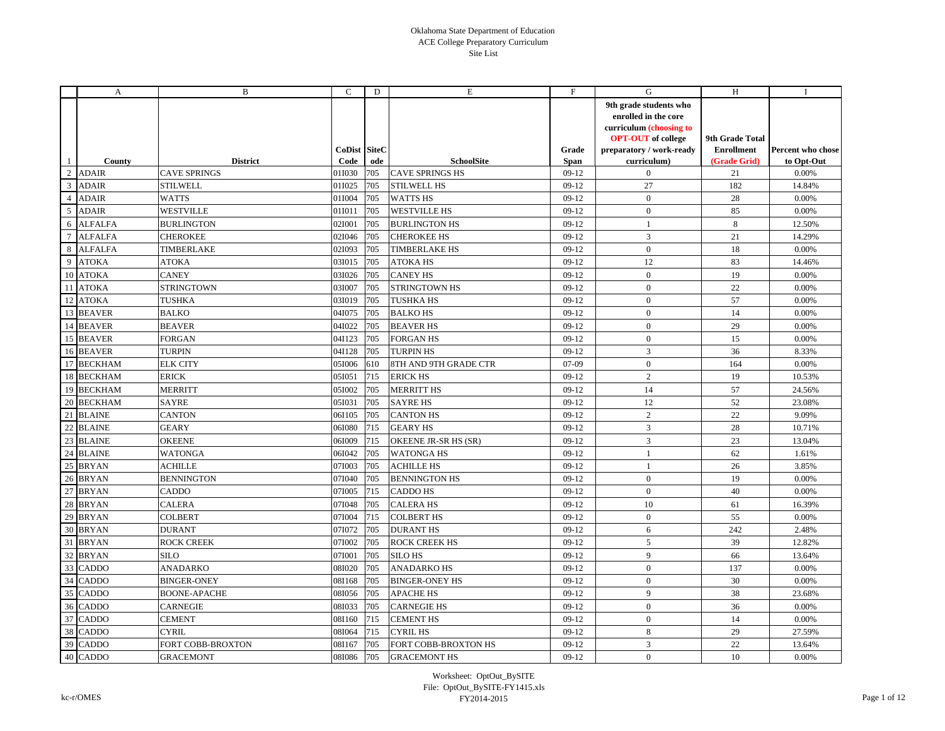|                | A              | B                   | C                    | D   | Е                      | F                    | G                                                                                                                                                 | H                                                    | Ι.                              |
|----------------|----------------|---------------------|----------------------|-----|------------------------|----------------------|---------------------------------------------------------------------------------------------------------------------------------------------------|------------------------------------------------------|---------------------------------|
|                | County         | <b>District</b>     | CoDist SiteC<br>Code | ode | <b>SchoolSite</b>      | Grade<br><b>Span</b> | 9th grade students who<br>enrolled in the core<br>curriculum (choosing to<br><b>OPT-OUT</b> of college<br>preparatory / work-ready<br>curriculum) | 9th Grade Total<br><b>Enrollment</b><br>(Grade Grid) | Percent who chose<br>to Opt-Out |
| $\overline{c}$ | <b>ADAIR</b>   | <b>CAVE SPRINGS</b> | 01I030               | 705 | <b>CAVE SPRINGS HS</b> | $09-12$              | $\boldsymbol{0}$                                                                                                                                  | 21                                                   | 0.00%                           |
| 3              | <b>ADAIR</b>   | <b>STILWELL</b>     | 01I025               | 705 | <b>STILWELL HS</b>     | $09-12$              | 27                                                                                                                                                | 182                                                  | 14.84%                          |
| $\overline{4}$ | <b>ADAIR</b>   | <b>WATTS</b>        | 01I004               | 705 | <b>WATTS HS</b>        | $09-12$              | $\mathbf{0}$                                                                                                                                      | 28                                                   | 0.00%                           |
| 5              | <b>ADAIR</b>   | <b>WESTVILLE</b>    | 01I011               | 705 | <b>WESTVILLE HS</b>    | $09-12$              | $\mathbf{0}$                                                                                                                                      | 85                                                   | 0.00%                           |
| 6              | <b>ALFALFA</b> | <b>BURLINGTON</b>   | 02I001               | 705 | <b>BURLINGTON HS</b>   | $09-12$              | $\mathbf{1}$                                                                                                                                      | $\,8\,$                                              | 12.50%                          |
| $\tau$         | <b>ALFALFA</b> | CHEROKEE            | 02I046               | 705 | <b>CHEROKEE HS</b>     | $09-12$              | 3                                                                                                                                                 | 21                                                   | 14.29%                          |
| 8              | <b>ALFALFA</b> | TIMBERLAKE          | 02I093               | 705 | <b>TIMBERLAKE HS</b>   | $09-12$              | $\mathbf{0}$                                                                                                                                      | 18                                                   | 0.00%                           |
| 9              | <b>ATOKA</b>   | <b>ATOKA</b>        | 03I015               | 705 | <b>ATOKA HS</b>        | $09-12$              | 12                                                                                                                                                | 83                                                   | 14.46%                          |
| 10             | <b>ATOKA</b>   | <b>CANEY</b>        | 03I026               | 705 | <b>CANEY HS</b>        | $09-12$              | $\mathbf{0}$                                                                                                                                      | 19                                                   | 0.00%                           |
| 11             | <b>ATOKA</b>   | STRINGTOWN          | 03I007               | 705 | STRINGTOWN HS          | $09-12$              | $\mathbf{0}$                                                                                                                                      | 22                                                   | 0.00%                           |
| 12             | <b>ATOKA</b>   | TUSHKA              | 03I019               | 705 | TUSHKA HS              | $09-12$              | $\mathbf{0}$                                                                                                                                      | 57                                                   | 0.00%                           |
| 13             | <b>BEAVER</b>  | <b>BALKO</b>        | 04I075               | 705 | <b>BALKOHS</b>         | $09-12$              | $\mathbf{0}$                                                                                                                                      | 14                                                   | 0.00%                           |
| 14             | <b>BEAVER</b>  | <b>BEAVER</b>       | 04I022               | 705 | <b>BEAVER HS</b>       | $09-12$              | $\mathbf{0}$                                                                                                                                      | 29                                                   | 0.00%                           |
| 15             | <b>BEAVER</b>  | FORGAN              | 04I123               | 705 | <b>FORGAN HS</b>       | $09-12$              | $\mathbf{0}$                                                                                                                                      | 15                                                   | 0.00%                           |
|                | 16 BEAVER      | <b>TURPIN</b>       | 04I128               | 705 | <b>TURPIN HS</b>       | $09-12$              | $\overline{3}$                                                                                                                                    | 36                                                   | 8.33%                           |
| 17             | <b>BECKHAM</b> | <b>ELK CITY</b>     | 05I006               | 610 | 8TH AND 9TH GRADE CTR  | $07-09$              | $\mathbf{0}$                                                                                                                                      | 164                                                  | 0.00%                           |
| 18             | <b>BECKHAM</b> | <b>ERICK</b>        | 05I051               | 715 | <b>ERICK HS</b>        | $09-12$              | 2                                                                                                                                                 | 19                                                   | 10.53%                          |
|                | 19 BECKHAM     | <b>MERRITT</b>      | 05I002               | 705 | <b>MERRITT HS</b>      | $09-12$              | 14                                                                                                                                                | 57                                                   | 24.56%                          |
| 20             | <b>BECKHAM</b> | <b>SAYRE</b>        | 05I031               | 705 | <b>SAYRE HS</b>        | $09-12$              | 12                                                                                                                                                | 52                                                   | 23.08%                          |
| 21             | <b>BLAINE</b>  | <b>CANTON</b>       | 06I105               | 705 | <b>CANTON HS</b>       | $09-12$              | $\overline{2}$                                                                                                                                    | 22                                                   | 9.09%                           |
| 22             | <b>BLAINE</b>  | <b>GEARY</b>        | 06I080               | 715 | <b>GEARY HS</b>        | $09-12$              | $\overline{3}$                                                                                                                                    | 28                                                   | 10.71%                          |
| 23             | <b>BLAINE</b>  | <b>OKEENE</b>       | 06I009               | 715 | OKEENE JR-SR HS (SR)   | $09-12$              | $\overline{3}$                                                                                                                                    | 23                                                   | 13.04%                          |
| 24             | <b>BLAINE</b>  | WATONGA             | 06I042               | 705 | <b>WATONGA HS</b>      | $09-12$              | $\mathbf{1}$                                                                                                                                      | 62                                                   | 1.61%                           |
| 25             | <b>BRYAN</b>   | <b>ACHILLE</b>      | 07I003               | 705 | <b>ACHILLE HS</b>      | $09-12$              | $\mathbf{1}$                                                                                                                                      | 26                                                   | 3.85%                           |
| 26             | <b>BRYAN</b>   | <b>BENNINGTON</b>   | 07I040               | 705 | <b>BENNINGTON HS</b>   | $09-12$              | $\mathbf{0}$                                                                                                                                      | 19                                                   | 0.00%                           |
| 27             | <b>BRYAN</b>   | CADDO               | 07I005               | 715 | <b>CADDO HS</b>        | $09-12$              | $\mathbf{0}$                                                                                                                                      | 40                                                   | 0.00%                           |
| 28             | <b>BRYAN</b>   | <b>CALERA</b>       | 07I048               | 705 | <b>CALERA HS</b>       | $09-12$              | 10                                                                                                                                                | 61                                                   | 16.39%                          |
| 29             | <b>BRYAN</b>   | <b>COLBERT</b>      | 07I004               | 715 | <b>COLBERT HS</b>      | $09-12$              | $\boldsymbol{0}$                                                                                                                                  | 55                                                   | 0.00%                           |
| 30             | <b>BRYAN</b>   | <b>DURANT</b>       | 07I072               | 705 | <b>DURANT HS</b>       | $09-12$              | 6                                                                                                                                                 | 242                                                  | 2.48%                           |
| 31             | <b>BRYAN</b>   | ROCK CREEK          | 07I002               | 705 | ROCK CREEK HS          | $09-12$              | $\mathfrak{S}$                                                                                                                                    | 39                                                   | 12.82%                          |
| 32             | <b>BRYAN</b>   | SILO                | 07I001               | 705 | <b>SILO HS</b>         | $09-12$              | 9                                                                                                                                                 | 66                                                   | 13.64%                          |
| 33             | <b>CADDO</b>   | ANADARKO            | 08I020               | 705 | <b>ANADARKO HS</b>     | $09-12$              | $\mathbf{0}$                                                                                                                                      | 137                                                  | 0.00%                           |
| 34             | <b>CADDO</b>   | <b>BINGER-ONEY</b>  | 08I168               | 705 | <b>BINGER-ONEY HS</b>  | $09-12$              | $\mathbf{0}$                                                                                                                                      | 30                                                   | 0.00%                           |
| 35             | <b>CADDO</b>   | <b>BOONE-APACHE</b> | 08I056               | 705 | <b>APACHE HS</b>       | $09-12$              | 9                                                                                                                                                 | 38                                                   | 23.68%                          |
| 36             | <b>CADDO</b>   | <b>CARNEGIE</b>     | 08I033               | 705 | <b>CARNEGIE HS</b>     | $09-12$              | $\mathbf{0}$                                                                                                                                      | 36                                                   | 0.00%                           |
| 37             | <b>CADDO</b>   | CEMENT              | 08I160               | 715 | <b>CEMENT HS</b>       | $09-12$              | $\mathbf{0}$                                                                                                                                      | 14                                                   | 0.00%                           |
| 38             | <b>CADDO</b>   | <b>CYRIL</b>        | 08I064               | 715 | <b>CYRIL HS</b>        | $09-12$              | $\,8\,$                                                                                                                                           | 29                                                   | 27.59%                          |
|                | 39 CADDO       | FORT COBB-BROXTON   | 08I167               | 705 | FORT COBB-BROXTON HS   | $09-12$              | $\mathfrak{Z}$                                                                                                                                    | 22                                                   | 13.64%                          |
|                | 40 CADDO       | GRACEMONT           | 08I086               | 705 | <b>GRACEMONT HS</b>    | $09-12$              | $\mathbf{0}$                                                                                                                                      | 10                                                   | 0.00%                           |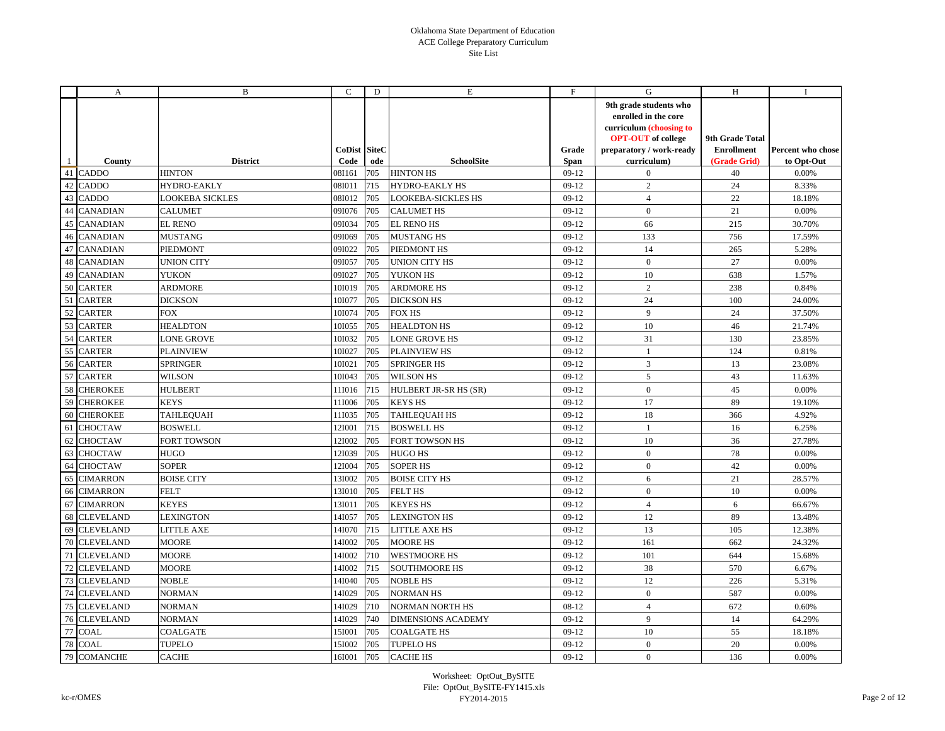|    | A                | B                 | C                    | D   | Е                         | F             | G                                                                                                                                                 | H                                                    | $\bf{I}$                        |
|----|------------------|-------------------|----------------------|-----|---------------------------|---------------|---------------------------------------------------------------------------------------------------------------------------------------------------|------------------------------------------------------|---------------------------------|
|    | County           | <b>District</b>   | CoDist SiteC<br>Code | ode | <b>SchoolSite</b>         | Grade<br>Span | 9th grade students who<br>enrolled in the core<br>curriculum (choosing to<br><b>OPT-OUT</b> of college<br>preparatory / work-ready<br>curriculum) | 9th Grade Total<br><b>Enrollment</b><br>(Grade Grid) | Percent who chose<br>to Opt-Out |
|    | 41 CADDO         | <b>HINTON</b>     | 08I161               | 705 | <b>HINTON HS</b>          | $09-12$       | $\mathbf{0}$                                                                                                                                      | 40                                                   | 0.00%                           |
| 42 | <b>CADDO</b>     | HYDRO-EAKLY       | 08I011               | 715 | <b>HYDRO-EAKLY HS</b>     | $09-12$       | $\overline{2}$                                                                                                                                    | 24                                                   | 8.33%                           |
| 43 | <b>CADDO</b>     | LOOKEBA SICKLES   | 08I012               | 705 | <b>LOOKEBA-SICKLES HS</b> | $09-12$       | $\overline{4}$                                                                                                                                    | $22\,$                                               | 18.18%                          |
| 44 | <b>CANADIAN</b>  | CALUMET           | 09I076               | 705 | <b>CALUMET HS</b>         | $09-12$       | $\mathbf{0}$                                                                                                                                      | 21                                                   | 0.00%                           |
| 45 | <b>CANADIAN</b>  | <b>EL RENO</b>    | 09I034               | 705 | <b>EL RENO HS</b>         | $09-12$       | 66                                                                                                                                                | 215                                                  | 30.70%                          |
| 46 | <b>CANADIAN</b>  | <b>MUSTANG</b>    | 09I069               | 705 | <b>MUSTANG HS</b>         | $09-12$       | 133                                                                                                                                               | 756                                                  | 17.59%                          |
| 47 | <b>CANADIAN</b>  | PIEDMONT          | 09I022               | 705 | PIEDMONT HS               | $09-12$       | 14                                                                                                                                                | 265                                                  | 5.28%                           |
| 48 | <b>CANADIAN</b>  | <b>UNION CITY</b> | 09I057               | 705 | UNION CITY HS             | $09-12$       | $\mathbf{0}$                                                                                                                                      | 27                                                   | 0.00%                           |
| 49 | <b>CANADIAN</b>  | <b>YUKON</b>      | 09I027               | 705 | YUKON HS                  | $09-12$       | 10                                                                                                                                                | 638                                                  | 1.57%                           |
| 50 | <b>CARTER</b>    | ARDMORE           | 101019               | 705 | <b>ARDMORE HS</b>         | $09-12$       | $\overline{2}$                                                                                                                                    | 238                                                  | 0.84%                           |
| 51 | <b>CARTER</b>    | <b>DICKSON</b>    | 101077               | 705 | <b>DICKSON HS</b>         | $09-12$       | 24                                                                                                                                                | 100                                                  | 24.00%                          |
| 52 | <b>CARTER</b>    | <b>FOX</b>        | 101074               | 705 | <b>FOX HS</b>             | $09-12$       | 9                                                                                                                                                 | 24                                                   | 37.50%                          |
| 53 | <b>CARTER</b>    | <b>HEALDTON</b>   | 10I055               | 705 | <b>HEALDTON HS</b>        | $09-12$       | 10                                                                                                                                                | 46                                                   | 21.74%                          |
| 54 | <b>CARTER</b>    | LONE GROVE        | 101032               | 705 | <b>LONE GROVE HS</b>      | $09-12$       | 31                                                                                                                                                | 130                                                  | 23.85%                          |
| 55 | <b>CARTER</b>    | <b>PLAINVIEW</b>  | 101027               | 705 | <b>PLAINVIEW HS</b>       | $09-12$       | $\mathbf{1}$                                                                                                                                      | 124                                                  | 0.81%                           |
| 56 | <b>CARTER</b>    | SPRINGER          | 101021               | 705 | <b>SPRINGER HS</b>        | $09-12$       | $\overline{3}$                                                                                                                                    | 13                                                   | 23.08%                          |
| 57 | <b>CARTER</b>    | <b>WILSON</b>     | 101043               | 705 | <b>WILSON HS</b>          | $09-12$       | 5                                                                                                                                                 | 43                                                   | 11.63%                          |
| 58 | <b>CHEROKEE</b>  | <b>HULBERT</b>    | 11I016               | 715 | HULBERT JR-SR HS (SR)     | $09-12$       | $\mathbf{0}$                                                                                                                                      | 45                                                   | 0.00%                           |
| 59 | <b>CHEROKEE</b>  | <b>KEYS</b>       | 11I006               | 705 | <b>KEYS HS</b>            | $09-12$       | 17                                                                                                                                                | 89                                                   | 19.10%                          |
| 60 | <b>CHEROKEE</b>  | TAHLEQUAH         | 11I035               | 705 | <b>TAHLEQUAH HS</b>       | $09-12$       | 18                                                                                                                                                | 366                                                  | 4.92%                           |
| 61 | <b>CHOCTAW</b>   | <b>BOSWELL</b>    | 12I001               | 715 | <b>BOSWELL HS</b>         | $09-12$       | 1                                                                                                                                                 | 16                                                   | 6.25%                           |
| 62 | <b>CHOCTAW</b>   | FORT TOWSON       | 12I002               | 705 | <b>FORT TOWSON HS</b>     | $09-12$       | 10                                                                                                                                                | 36                                                   | 27.78%                          |
| 63 | <b>CHOCTAW</b>   | <b>HUGO</b>       | 12I039               | 705 | HUGO HS                   | $09-12$       | $\overline{0}$                                                                                                                                    | 78                                                   | 0.00%                           |
| 64 | <b>CHOCTAW</b>   | SOPER             | 12I004               | 705 | <b>SOPER HS</b>           | $09-12$       | $\mathbf{0}$                                                                                                                                      | 42                                                   | 0.00%                           |
| 65 | <b>CIMARRON</b>  | <b>BOISE CITY</b> | 13I002               | 705 | <b>BOISE CITY HS</b>      | $09-12$       | 6                                                                                                                                                 | 21                                                   | 28.57%                          |
| 66 | <b>CIMARRON</b>  | <b>FELT</b>       | 13I010               | 705 | <b>FELT HS</b>            | $09-12$       | $\mathbf{0}$                                                                                                                                      | 10                                                   | 0.00%                           |
| 67 | <b>CIMARRON</b>  | <b>KEYES</b>      | 13I011               | 705 | <b>KEYES HS</b>           | $09-12$       | $\overline{4}$                                                                                                                                    | 6                                                    | 66.67%                          |
| 68 | <b>CLEVELAND</b> | <b>LEXINGTON</b>  | 14I057               | 705 | <b>LEXINGTON HS</b>       | $09-12$       | 12                                                                                                                                                | 89                                                   | 13.48%                          |
| 69 | <b>CLEVELAND</b> | <b>LITTLE AXE</b> | 14I070               | 715 | LITTLE AXE HS             | $09-12$       | 13                                                                                                                                                | 105                                                  | 12.38%                          |
| 70 | <b>CLEVELAND</b> | <b>MOORE</b>      | 14I002               | 705 | <b>MOORE HS</b>           | $09-12$       | 161                                                                                                                                               | 662                                                  | 24.32%                          |
| 71 | <b>CLEVELAND</b> | <b>MOORE</b>      | 14I002               | 710 | <b>WESTMOORE HS</b>       | $09-12$       | 101                                                                                                                                               | 644                                                  | 15.68%                          |
| 72 | <b>CLEVELAND</b> | <b>MOORE</b>      | 14I002               | 715 | <b>SOUTHMOORE HS</b>      | $09-12$       | 38                                                                                                                                                | 570                                                  | 6.67%                           |
| 73 | <b>CLEVELAND</b> | <b>NOBLE</b>      | 14I040               | 705 | <b>NOBLE HS</b>           | $09-12$       | 12                                                                                                                                                | 226                                                  | 5.31%                           |
| 74 | <b>CLEVELAND</b> | <b>NORMAN</b>     | 14I029               | 705 | <b>NORMANHS</b>           | $09-12$       | $\mathbf{0}$                                                                                                                                      | 587                                                  | 0.00%                           |
| 75 | <b>CLEVELAND</b> | NORMAN            | 14I029               | 710 | <b>NORMAN NORTH HS</b>    | 08-12         | $\overline{4}$                                                                                                                                    | 672                                                  | 0.60%                           |
| 76 | <b>CLEVELAND</b> | <b>NORMAN</b>     | 14I029               | 740 | <b>DIMENSIONS ACADEMY</b> | $09-12$       | 9                                                                                                                                                 | 14                                                   | 64.29%                          |
| 77 | <b>COAL</b>      | <b>COALGATE</b>   | 15I001               | 705 | <b>COALGATE HS</b>        | $09-12$       | 10                                                                                                                                                | 55                                                   | 18.18%                          |
| 78 | <b>COAL</b>      | TUPELO            | 15I002               | 705 | <b>TUPELO HS</b>          | $09-12$       | $\mathbf{0}$                                                                                                                                      | 20                                                   | 0.00%                           |
| 79 | <b>COMANCHE</b>  | <b>CACHE</b>      | 16I001               | 705 | <b>CACHE HS</b>           | $09-12$       | $\mathbf{0}$                                                                                                                                      | 136                                                  | 0.00%                           |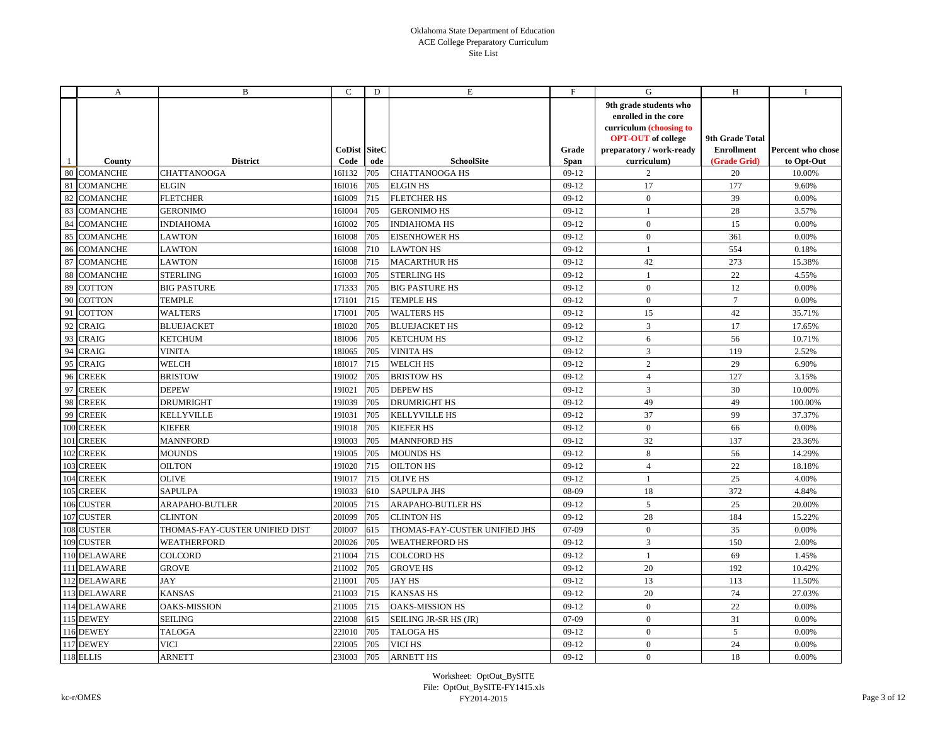|     | A               | B                              | C                    | D   | E                             | F                    | G                                                                                                                                                 | H                                                    | Ι.                                     |
|-----|-----------------|--------------------------------|----------------------|-----|-------------------------------|----------------------|---------------------------------------------------------------------------------------------------------------------------------------------------|------------------------------------------------------|----------------------------------------|
|     | County          | <b>District</b>                | CoDist SiteC<br>Code | ode | SchoolSite                    | Grade<br><b>Span</b> | 9th grade students who<br>enrolled in the core<br>curriculum (choosing to<br><b>OPT-OUT</b> of college<br>preparatory / work-ready<br>curriculum) | 9th Grade Total<br><b>Enrollment</b><br>(Grade Grid) | <b>Percent who chose</b><br>to Opt-Out |
| 80  | <b>COMANCHE</b> | <b>CHATTANOOGA</b>             | 16I132               | 705 | <b>CHATTANOOGA HS</b>         | $09-12$              | 2                                                                                                                                                 | 20                                                   | 10.00%                                 |
| 81  | <b>COMANCHE</b> | <b>ELGIN</b>                   | 16I016               | 705 | <b>ELGIN HS</b>               | $09-12$              | 17                                                                                                                                                | 177                                                  | 9.60%                                  |
| 82  | <b>COMANCHE</b> | <b>FLETCHER</b>                | 16I009               | 715 | <b>FLETCHER HS</b>            | $09-12$              | $\mathbf{0}$                                                                                                                                      | 39                                                   | 0.00%                                  |
| 83  | <b>COMANCHE</b> | <b>GERONIMO</b>                | 16I004               | 705 | <b>GERONIMO HS</b>            | $09-12$              | $\mathbf{1}$                                                                                                                                      | 28                                                   | 3.57%                                  |
| 84  | <b>COMANCHE</b> | <b>INDIAHOMA</b>               | 16I002               | 705 | <b>INDIAHOMA HS</b>           | $09-12$              | $\mathbf{0}$                                                                                                                                      | 15                                                   | 0.00%                                  |
| 85  | <b>COMANCHE</b> | <b>LAWTON</b>                  | 16I008               | 705 | <b>EISENHOWER HS</b>          | $09-12$              | $\mathbf{0}$                                                                                                                                      | 361                                                  | 0.00%                                  |
| 86  | <b>COMANCHE</b> | LAWTON                         | 16I008               | 710 | <b>LAWTON HS</b>              | $09-12$              | $\mathbf{1}$                                                                                                                                      | 554                                                  | 0.18%                                  |
| 87  | <b>COMANCHE</b> | LAWTON                         | 16I008               | 715 | <b>MACARTHUR HS</b>           | $09-12$              | 42                                                                                                                                                | 273                                                  | 15.38%                                 |
| 88  | <b>COMANCHE</b> | <b>STERLING</b>                | 16I003               | 705 | <b>STERLING HS</b>            | $09-12$              | -1                                                                                                                                                | 22                                                   | 4.55%                                  |
| 89  | <b>COTTON</b>   | <b>BIG PASTURE</b>             | 17I333               | 705 | <b>BIG PASTURE HS</b>         | $09-12$              | $\mathbf{0}$                                                                                                                                      | 12                                                   | 0.00%                                  |
| 90  | <b>COTTON</b>   | TEMPLE                         | 17I101               | 715 | <b>TEMPLE HS</b>              | $09-12$              | $\mathbf{0}$                                                                                                                                      | $7\phantom{.0}$                                      | 0.00%                                  |
| 91  | <b>COTTON</b>   | <b>WALTERS</b>                 | 17I001               | 705 | <b>WALTERS HS</b>             | $09-12$              | 15                                                                                                                                                | 42                                                   | 35.71%                                 |
| 92  | <b>CRAIG</b>    | <b>BLUEJACKET</b>              | 18I020               | 705 | <b>BLUEJACKET HS</b>          | $09-12$              | $\overline{3}$                                                                                                                                    | 17                                                   | 17.65%                                 |
| 93  | <b>CRAIG</b>    | <b>KETCHUM</b>                 | 18I006               | 705 | <b>KETCHUM HS</b>             | $09-12$              | 6                                                                                                                                                 | 56                                                   | 10.71%                                 |
| 94  | <b>CRAIG</b>    | VINITA                         | 18I065               | 705 | <b>VINITA HS</b>              | $09-12$              | $\overline{3}$                                                                                                                                    | 119                                                  | 2.52%                                  |
| 95  | <b>CRAIG</b>    | <b>WELCH</b>                   | 18I017               | 715 | <b>WELCH HS</b>               | $09-12$              | $\overline{2}$                                                                                                                                    | 29                                                   | 6.90%                                  |
| 96  | <b>CREEK</b>    | <b>BRISTOW</b>                 | 19I002               | 705 | <b>BRISTOW HS</b>             | $09-12$              | $\overline{4}$                                                                                                                                    | 127                                                  | 3.15%                                  |
| 97  | <b>CREEK</b>    | <b>DEPEW</b>                   | 19I021               | 705 | <b>DEPEW HS</b>               | $09-12$              | 3                                                                                                                                                 | 30                                                   | 10.00%                                 |
| 98  | <b>CREEK</b>    | <b>DRUMRIGHT</b>               | 19I039               | 705 | <b>DRUMRIGHT HS</b>           | $09-12$              | 49                                                                                                                                                | 49                                                   | 100.00%                                |
| 99  | <b>CREEK</b>    | <b>KELLYVILLE</b>              | 19I031               | 705 | <b>KELLYVILLE HS</b>          | $09-12$              | 37                                                                                                                                                | 99                                                   | 37.37%                                 |
| 100 | <b>CREEK</b>    | KIEFER                         | 19I018               | 705 | <b>KIEFER HS</b>              | $09-12$              | $\mathbf{0}$                                                                                                                                      | 66                                                   | 0.00%                                  |
|     | 101 CREEK       | <b>MANNFORD</b>                | 19I003               | 705 | <b>MANNFORD HS</b>            | $09-12$              | 32                                                                                                                                                | 137                                                  | 23.36%                                 |
| 102 | <b>CREEK</b>    | <b>MOUNDS</b>                  | 19I005               | 705 | <b>MOUNDS HS</b>              | $09-12$              | $8\,$                                                                                                                                             | 56                                                   | 14.29%                                 |
| 103 | <b>CREEK</b>    | <b>OILTON</b>                  | 19I020               | 715 | <b>OILTON HS</b>              | $09-12$              | $\overline{4}$                                                                                                                                    | 22                                                   | 18.18%                                 |
| 104 | <b>CREEK</b>    | <b>OLIVE</b>                   | 19I017               | 715 | <b>OLIVE HS</b>               | $09-12$              | <sup>1</sup>                                                                                                                                      | 25                                                   | 4.00%                                  |
| 105 | <b>CREEK</b>    | SAPULPA                        | 19I033               | 610 | <b>SAPULPA JHS</b>            | 08-09                | 18                                                                                                                                                | 372                                                  | 4.84%                                  |
| 106 | <b>CUSTER</b>   | ARAPAHO-BUTLER                 | 201005               | 715 | <b>ARAPAHO-BUTLER HS</b>      | $09-12$              | 5                                                                                                                                                 | 25                                                   | 20.00%                                 |
|     | 107 CUSTER      | <b>CLINTON</b>                 | 201099               | 705 | <b>CLINTON HS</b>             | $09-12$              | 28                                                                                                                                                | 184                                                  | 15.22%                                 |
| 108 | <b>CUSTER</b>   | THOMAS-FAY-CUSTER UNIFIED DIST | 201007               | 615 | THOMAS-FAY-CUSTER UNIFIED JHS | $07-09$              | $\mathbf{0}$                                                                                                                                      | 35                                                   | 0.00%                                  |
|     | 109 CUSTER      | WEATHERFORD                    | 201026               | 705 | <b>WEATHERFORD HS</b>         | $09-12$              | $\overline{3}$                                                                                                                                    | 150                                                  | 2.00%                                  |
|     | 110 DELAWARE    | <b>COLCORD</b>                 | 21I004               | 715 | <b>COLCORD HS</b>             | $09-12$              | $\mathbf{1}$                                                                                                                                      | 69                                                   | 1.45%                                  |
|     | 111 DELAWARE    | <b>GROVE</b>                   | 21I002               | 705 | <b>GROVE HS</b>               | $09-12$              | 20                                                                                                                                                | 192                                                  | 10.42%                                 |
|     | 112 DELAWARE    | <b>JAY</b>                     | 211001               | 705 | <b>JAY HS</b>                 | $09-12$              | 13                                                                                                                                                | 113                                                  | 11.50%                                 |
|     | 113 DELAWARE    | <b>KANSAS</b>                  | 21I003               | 715 | <b>KANSAS HS</b>              | $09-12$              | 20                                                                                                                                                | 74                                                   | 27.03%                                 |
|     | 114 DELAWARE    | <b>OAKS-MISSION</b>            | 21I005               | 715 | <b>OAKS-MISSION HS</b>        | $09-12$              | $\boldsymbol{0}$                                                                                                                                  | $22\,$                                               | $0.00\%$                               |
|     | 115 DEWEY       | <b>SEILING</b>                 | 22I008               | 615 | SEILING JR-SR HS (JR)         | 07-09                | $\mathbf{0}$                                                                                                                                      | 31                                                   | 0.00%                                  |
|     | 116 DEWEY       | <b>TALOGA</b>                  | 22I010               | 705 | <b>TALOGA HS</b>              | $09-12$              | $\mathbf{0}$                                                                                                                                      | 5                                                    | 0.00%                                  |
|     | 117 DEWEY       | VICI                           | 22I005               | 705 | VICI HS                       | $09-12$              | $\mathbf{0}$                                                                                                                                      | 24                                                   | 0.00%                                  |
|     | 118 ELLIS       | ARNETT                         | 231003               | 705 | <b>ARNETT HS</b>              | $09-12$              | $\mathbf{0}$                                                                                                                                      | 18                                                   | 0.00%                                  |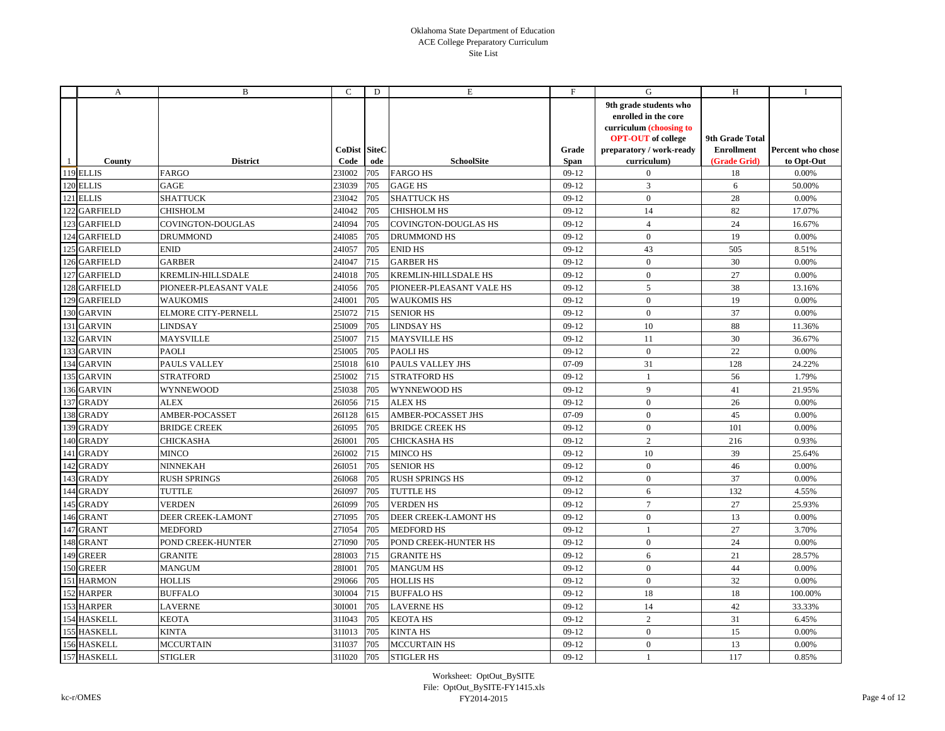|     | A               | B                     | C                           | D   | Е                           | F             | G                                                                                                                                                 | H                                                    | Ι.                              |
|-----|-----------------|-----------------------|-----------------------------|-----|-----------------------------|---------------|---------------------------------------------------------------------------------------------------------------------------------------------------|------------------------------------------------------|---------------------------------|
|     | County          | <b>District</b>       | <b>CoDist SiteC</b><br>Code | ode | <b>SchoolSite</b>           | Grade<br>Span | 9th grade students who<br>enrolled in the core<br>curriculum (choosing to<br><b>OPT-OUT</b> of college<br>preparatory / work-ready<br>curriculum) | 9th Grade Total<br><b>Enrollment</b><br>(Grade Grid) | Percent who chose<br>to Opt-Out |
|     | 119 ELLIS       | FARGO                 | 231002                      | 705 | <b>FARGO HS</b>             | $09-12$       | $\overline{0}$                                                                                                                                    | 18                                                   | 0.00%                           |
|     | 120 ELLIS       | GAGE                  | 23I039                      | 705 | <b>GAGE HS</b>              | $09-12$       | $\overline{3}$                                                                                                                                    | 6                                                    | 50.00%                          |
|     | 121 ELLIS       | <b>SHATTUCK</b>       | 23I042                      | 705 | <b>SHATTUCK HS</b>          | $09-12$       | $\mathbf{0}$                                                                                                                                      | 28                                                   | 0.00%                           |
|     | 122 GARFIELD    | CHISHOLM              | 24I042                      | 705 | <b>CHISHOLM HS</b>          | $09-12$       | 14                                                                                                                                                | 82                                                   | 17.07%                          |
|     | 123 GARFIELD    | COVINGTON-DOUGLAS     | 24I094                      | 705 | <b>COVINGTON-DOUGLAS HS</b> | $09-12$       | $\overline{4}$                                                                                                                                    | 24                                                   | 16.67%                          |
| 124 | <b>GARFIELD</b> | DRUMMOND              | 24I085                      | 705 | <b>DRUMMOND HS</b>          | $09-12$       | $\mathbf{0}$                                                                                                                                      | 19                                                   | 0.00%                           |
|     | 125 GARFIELD    | <b>ENID</b>           | 24I057                      | 705 | <b>ENID HS</b>              | $09-12$       | 43                                                                                                                                                | 505                                                  | 8.51%                           |
|     | 126 GARFIELD    | <b>GARBER</b>         | 24I047                      | 715 | <b>GARBER HS</b>            | $09-12$       | $\mathbf{0}$                                                                                                                                      | 30                                                   | 0.00%                           |
|     | 127 GARFIELD    | KREMLIN-HILLSDALE     | 24I018                      | 705 | KREMLIN-HILLSDALE HS        | $09-12$       | $\mathbf{0}$                                                                                                                                      | 27                                                   | 0.00%                           |
|     | 128 GARFIELD    | PIONEER-PLEASANT VALE | 24I056                      | 705 | PIONEER-PLEASANT VALE HS    | $09-12$       | 5                                                                                                                                                 | 38                                                   | 13.16%                          |
|     | 129 GARFIELD    | <b>WAUKOMIS</b>       | 24I001                      | 705 | <b>WAUKOMIS HS</b>          | $09-12$       | $\mathbf{0}$                                                                                                                                      | 19                                                   | 0.00%                           |
|     | 130 GARVIN      | ELMORE CITY-PERNELL   | 251072 715                  |     | <b>SENIOR HS</b>            | $09-12$       | $\mathbf{0}$                                                                                                                                      | 37                                                   | 0.00%                           |
|     | 131 GARVIN      | LINDSAY               | 251009                      | 705 | <b>LINDSAY HS</b>           | $09-12$       | 10                                                                                                                                                | 88                                                   | 11.36%                          |
|     | 132 GARVIN      | <b>MAYSVILLE</b>      | 251007                      | 715 | <b>MAYSVILLE HS</b>         | $09-12$       | 11                                                                                                                                                | 30                                                   | 36.67%                          |
|     | 133 GARVIN      | PAOLI                 | 251005                      | 705 | <b>PAOLIHS</b>              | $09-12$       | $\mathbf{0}$                                                                                                                                      | 22                                                   | 0.00%                           |
| 134 | <b>GARVIN</b>   | PAULS VALLEY          | 25I018                      | 610 | PAULS VALLEY JHS            | $07-09$       | 31                                                                                                                                                | 128                                                  | 24.22%                          |
|     | 135 GARVIN      | <b>STRATFORD</b>      | 251002                      | 715 | <b>STRATFORD HS</b>         | $09-12$       | 1                                                                                                                                                 | 56                                                   | 1.79%                           |
|     | 136 GARVIN      | WYNNEWOOD             | 251038                      | 705 | WYNNEWOOD HS                | $09-12$       | 9                                                                                                                                                 | 41                                                   | 21.95%                          |
|     | 137 GRADY       | <b>ALEX</b>           | 26I056                      | 715 | <b>ALEX HS</b>              | $09-12$       | $\mathbf{0}$                                                                                                                                      | 26                                                   | 0.00%                           |
|     | 138 GRADY       | AMBER-POCASSET        | 26I128                      | 615 | AMBER-POCASSET JHS          | $07-09$       | $\mathbf{0}$                                                                                                                                      | 45                                                   | 0.00%                           |
|     | 139 GRADY       | <b>BRIDGE CREEK</b>   | 26I095                      | 705 | <b>BRIDGE CREEK HS</b>      | $09-12$       | $\mathbf{0}$                                                                                                                                      | 101                                                  | 0.00%                           |
| 140 | <b>GRADY</b>    | CHICKASHA             | 26I001                      | 705 | <b>CHICKASHA HS</b>         | $09-12$       | 2                                                                                                                                                 | 216                                                  | 0.93%                           |
|     | 141 GRADY       | <b>MINCO</b>          | 26I002                      | 715 | <b>MINCO HS</b>             | $09-12$       | 10                                                                                                                                                | 39                                                   | 25.64%                          |
|     | 142 GRADY       | NINNEKAH              | 26I051                      | 705 | <b>SENIOR HS</b>            | $09-12$       | $\mathbf{0}$                                                                                                                                      | 46                                                   | 0.00%                           |
| 143 | <b>GRADY</b>    | <b>RUSH SPRINGS</b>   | 26I068                      | 705 | <b>RUSH SPRINGS HS</b>      | $09-12$       | $\mathbf{0}$                                                                                                                                      | 37                                                   | 0.00%                           |
| 144 | <b>GRADY</b>    | TUTTLE                | 26I097                      | 705 | TUTTLE HS                   | $09-12$       | 6                                                                                                                                                 | 132                                                  | 4.55%                           |
|     | 145 GRADY       | VERDEN                | 26I099                      | 705 | <b>VERDEN HS</b>            | $09-12$       | $7\phantom{.0}$                                                                                                                                   | 27                                                   | 25.93%                          |
|     | 146 GRANT       | DEER CREEK-LAMONT     | 27I095                      | 705 | <b>DEER CREEK-LAMONT HS</b> | $09-12$       | $\mathbf{0}$                                                                                                                                      | 13                                                   | 0.00%                           |
| 147 | <b>GRANT</b>    | MEDFORD               | 27I054                      | 705 | <b>MEDFORD HS</b>           | $09-12$       | $\mathbf{1}$                                                                                                                                      | 27                                                   | 3.70%                           |
|     | 148 GRANT       | POND CREEK-HUNTER     | 27I090                      | 705 | POND CREEK-HUNTER HS        | $09-12$       | $\mathbf{0}$                                                                                                                                      | 24                                                   | 0.00%                           |
| 149 | <b>GREER</b>    | <b>GRANITE</b>        | 28I003                      | 715 | <b>GRANITE HS</b>           | $09-12$       | 6                                                                                                                                                 | 21                                                   | 28.57%                          |
| 150 | <b>GREER</b>    | <b>MANGUM</b>         | 28I001                      | 705 | <b>MANGUM HS</b>            | $09-12$       | $\overline{0}$                                                                                                                                    | 44                                                   | 0.00%                           |
|     | 151 HARMON      | <b>HOLLIS</b>         | 29I066                      | 705 | <b>HOLLIS HS</b>            | $09-12$       | $\overline{0}$                                                                                                                                    | 32                                                   | 0.00%                           |
|     | 152 HARPER      | <b>BUFFALO</b>        | 301004                      | 715 | <b>BUFFALO HS</b>           | $09-12$       | 18                                                                                                                                                | 18                                                   | 100.00%                         |
|     | 153 HARPER      | <b>LAVERNE</b>        | 301001                      | 705 | <b>LAVERNE HS</b>           | $09-12$       | 14                                                                                                                                                | 42                                                   | 33.33%                          |
|     | 154 HASKELL     | <b>KEOTA</b>          | 31I043                      | 705 | <b>KEOTA HS</b>             | $09-12$       | 2                                                                                                                                                 | 31                                                   | 6.45%                           |
|     | 155 HASKELL     | <b>KINTA</b>          | 311013                      | 705 | <b>KINTA HS</b>             | $09-12$       | $\mathbf{0}$                                                                                                                                      | 15                                                   | 0.00%                           |
|     | 156 HASKELL     | MCCURTAIN             | 31I037                      | 705 | <b>MCCURTAIN HS</b>         | $09-12$       | $\mathbf{0}$                                                                                                                                      | 13                                                   | 0.00%                           |
|     | 157 HASKELL     | <b>STIGLER</b>        | 31I020                      | 705 | <b>STIGLER HS</b>           | $09-12$       | $\mathbf{1}$                                                                                                                                      | 117                                                  | 0.85%                           |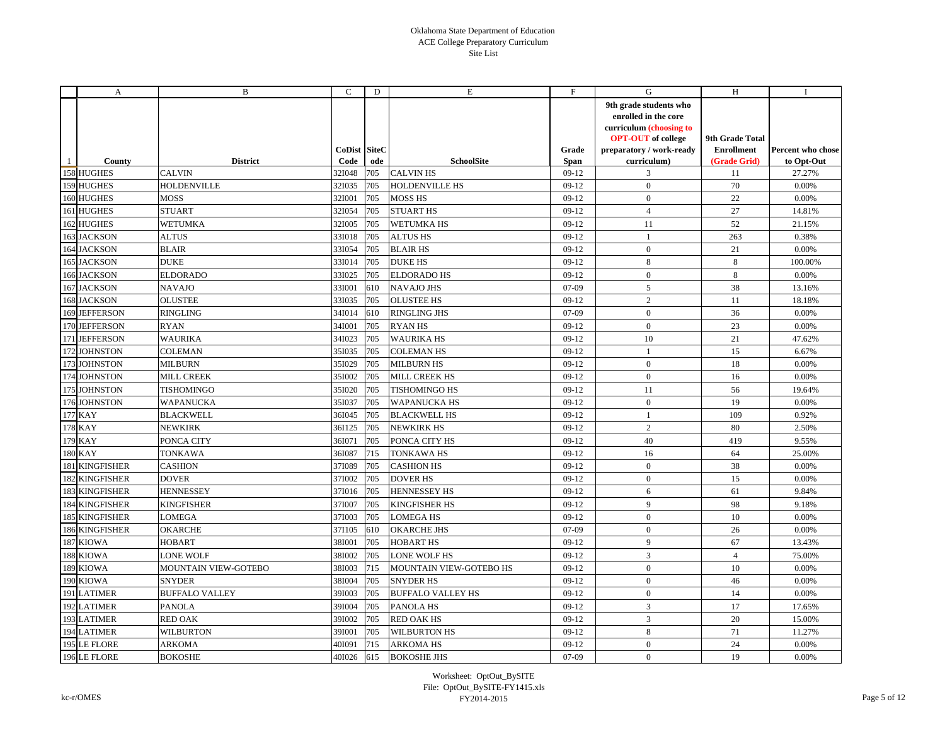|     | A                     | B                     | C                    | D   | Е                        | F                    | G                                                                                                                                                 | H                                                    | Ι.                              |
|-----|-----------------------|-----------------------|----------------------|-----|--------------------------|----------------------|---------------------------------------------------------------------------------------------------------------------------------------------------|------------------------------------------------------|---------------------------------|
| 1   | County                | <b>District</b>       | CoDist SiteC<br>Code | ode | <b>SchoolSite</b>        | Grade<br><b>Span</b> | 9th grade students who<br>enrolled in the core<br>curriculum (choosing to<br><b>OPT-OUT</b> of college<br>preparatory / work-ready<br>curriculum) | 9th Grade Total<br><b>Enrollment</b><br>(Grade Grid) | Percent who chose<br>to Opt-Out |
|     | 158 HUGHES            | <b>CALVIN</b>         | 32I048               | 705 | <b>CALVIN HS</b>         | $09-12$              | 3                                                                                                                                                 | 11                                                   | 27.27%                          |
|     | 159 HUGHES            | <b>HOLDENVILLE</b>    | 32I035               | 705 | <b>HOLDENVILLE HS</b>    | $09-12$              | $\boldsymbol{0}$                                                                                                                                  | 70                                                   | 0.00%                           |
|     | 160 HUGHES            | MOSS                  | 32I001               | 705 | <b>MOSS HS</b>           | $09-12$              | $\mathbf{0}$                                                                                                                                      | 22                                                   | 0.00%                           |
|     | 161 HUGHES            | STUART                | 32I054               | 705 | <b>STUART HS</b>         | $09-12$              | $\overline{4}$                                                                                                                                    | 27                                                   | 14.81%                          |
|     | 162 HUGHES            | <b>WETUMKA</b>        | 32I005               | 705 | <b>WETUMKA HS</b>        | $09-12$              | 11                                                                                                                                                | 52                                                   | 21.15%                          |
|     | 163 JACKSON           | <b>ALTUS</b>          | 33I018               | 705 | <b>ALTUS HS</b>          | $09-12$              | $\mathbf{1}$                                                                                                                                      | 263                                                  | 0.38%                           |
|     | 164 JACKSON           | <b>BLAIR</b>          | 331054               | 705 | <b>BLAIR HS</b>          | $09-12$              | $\mathbf{0}$                                                                                                                                      | 21                                                   | 0.00%                           |
|     | 165 JACKSON           | <b>DUKE</b>           | 33I014               | 705 | <b>DUKE HS</b>           | $09-12$              | 8                                                                                                                                                 | 8                                                    | 100.00%                         |
|     | 166 JACKSON           | <b>ELDORADO</b>       | 33I025               | 705 | <b>ELDORADO HS</b>       | $09-12$              | $\mathbf{0}$                                                                                                                                      | 8                                                    | 0.00%                           |
|     | 167 JACKSON           | <b>NAVAJO</b>         | 33I001               | 610 | <b>NAVAJO JHS</b>        | $07-09$              | 5                                                                                                                                                 | 38                                                   | 13.16%                          |
|     | 168 JACKSON           | <b>OLUSTEE</b>        | 33I035               | 705 | <b>OLUSTEE HS</b>        | $09-12$              | 2                                                                                                                                                 | 11                                                   | 18.18%                          |
|     | 169 JEFFERSON         | <b>RINGLING</b>       | 34I014               | 610 | <b>RINGLING JHS</b>      | $07-09$              | $\mathbf{0}$                                                                                                                                      | 36                                                   | 0.00%                           |
|     | 170 JEFFERSON         | <b>RYAN</b>           | 34I001               | 705 | <b>RYANHS</b>            | $09-12$              | $\mathbf{0}$                                                                                                                                      | 23                                                   | 0.00%                           |
|     | 171 JEFFERSON         | <b>WAURIKA</b>        | 34I023               | 705 | <b>WAURIKA HS</b>        | $09-12$              | 10                                                                                                                                                | 21                                                   | 47.62%                          |
|     | 172 JOHNSTON          | <b>COLEMAN</b>        | 351035               | 705 | <b>COLEMAN HS</b>        | $09-12$              | 1                                                                                                                                                 | 15                                                   | 6.67%                           |
|     | 173 JOHNSTON          | MILBURN               | 351029               | 705 | <b>MILBURN HS</b>        | $09-12$              | $\mathbf{0}$                                                                                                                                      | 18                                                   | 0.00%                           |
|     | 174 JOHNSTON          | <b>MILL CREEK</b>     | 351002               | 705 | <b>MILL CREEK HS</b>     | $09-12$              | $\mathbf{0}$                                                                                                                                      | 16                                                   | 0.00%                           |
|     | 175 JOHNSTON          | TISHOMINGO            | 351020               | 705 | <b>TISHOMINGO HS</b>     | $09-12$              | 11                                                                                                                                                | 56                                                   | 19.64%                          |
|     | 176 JOHNSTON          | WAPANUCKA             | 351037               | 705 | <b>WAPANUCKA HS</b>      | $09-12$              | $\mathbf{0}$                                                                                                                                      | 19                                                   | 0.00%                           |
|     | 177 KAY               | <b>BLACKWELL</b>      | 36I045               | 705 | <b>BLACKWELL HS</b>      | $09-12$              | $\mathbf{1}$                                                                                                                                      | 109                                                  | 0.92%                           |
|     | 178 KAY               | NEWKIRK               | 36I125               | 705 | <b>NEWKIRK HS</b>        | $09-12$              | $\overline{2}$                                                                                                                                    | 80                                                   | 2.50%                           |
|     | 179 KAY               | PONCA CITY            | 361071               | 705 | PONCA CITY HS            | $09-12$              | 40                                                                                                                                                | 419                                                  | 9.55%                           |
|     | <b>180 KAY</b>        | TONKAWA               | 36I087               | 715 | TONKAWA HS               | $09-12$              | 16                                                                                                                                                | 64                                                   | 25.00%                          |
|     | 181 KINGFISHER        | <b>CASHION</b>        | 37I089               | 705 | <b>CASHION HS</b>        | $09-12$              | $\mathbf{0}$                                                                                                                                      | 38                                                   | 0.00%                           |
|     | 182 KINGFISHER        | <b>DOVER</b>          | 371002               | 705 | <b>DOVER HS</b>          | $09-12$              | $\mathbf{0}$                                                                                                                                      | 15                                                   | 0.00%                           |
|     | 183 KINGFISHER        | <b>HENNESSEY</b>      | 37I016               | 705 | <b>HENNESSEY HS</b>      | $09-12$              | 6                                                                                                                                                 | 61                                                   | 9.84%                           |
|     | 184 KINGFISHER        | KINGFISHER            | 371007               | 705 | <b>KINGFISHER HS</b>     | $09-12$              | 9                                                                                                                                                 | 98                                                   | 9.18%                           |
|     | <b>185 KINGFISHER</b> | <b>LOMEGA</b>         | 371003               | 705 | <b>LOMEGA HS</b>         | $09-12$              | $\mathbf{0}$                                                                                                                                      | $10\,$                                               | 0.00%                           |
| 186 | <b>KINGFISHER</b>     | OKARCHE               | 37I105               | 610 | <b>OKARCHE JHS</b>       | 07-09                | $\mathbf{0}$                                                                                                                                      | 26                                                   | 0.00%                           |
|     | 187 KIOWA             | <b>HOBART</b>         | 38I001               | 705 | <b>HOBART HS</b>         | $09-12$              | 9                                                                                                                                                 | 67                                                   | 13.43%                          |
|     | 188 KIOWA             | LONE WOLF             | 38I002               | 705 | LONE WOLF HS             | $09-12$              | $\overline{3}$                                                                                                                                    | $\overline{4}$                                       | 75.00%                          |
|     | 189 KIOWA             | MOUNTAIN VIEW-GOTEBO  | 38I003               | 715 | MOUNTAIN VIEW-GOTEBO HS  | $09-12$              | $\mathbf{0}$                                                                                                                                      | 10                                                   | 0.00%                           |
|     | 190 KIOWA             | <b>SNYDER</b>         | 38I004               | 705 | <b>SNYDER HS</b>         | $09-12$              | $\mathbf{0}$                                                                                                                                      | 46                                                   | 0.00%                           |
|     | 191 LATIMER           | <b>BUFFALO VALLEY</b> | 39I003               | 705 | <b>BUFFALO VALLEY HS</b> | $09-12$              | $\mathbf{0}$                                                                                                                                      | 14                                                   | 0.00%                           |
|     | 192 LATIMER           | <b>PANOLA</b>         | 39I004               | 705 | PANOLA HS                | $09-12$              | 3                                                                                                                                                 | 17                                                   | 17.65%                          |
|     | 193 LATIMER           | <b>RED OAK</b>        | 39I002               | 705 | <b>RED OAK HS</b>        | $09-12$              | $\sqrt{3}$                                                                                                                                        | 20                                                   | 15.00%                          |
|     | 194 LATIMER           | <b>WILBURTON</b>      | 39I001               | 705 | <b>WILBURTON HS</b>      | $09-12$              | 8                                                                                                                                                 | 71                                                   | 11.27%                          |
|     | 195 LE FLORE          | ARKOMA                | 40I091               | 715 | <b>ARKOMA HS</b>         | $09-12$              | $\mathbf{0}$                                                                                                                                      | 24                                                   | 0.00%                           |
|     | 196 LE FLORE          | <b>BOKOSHE</b>        | 40I026               | 615 | <b>BOKOSHE JHS</b>       | 07-09                | $\mathbf{0}$                                                                                                                                      | 19                                                   | 0.00%                           |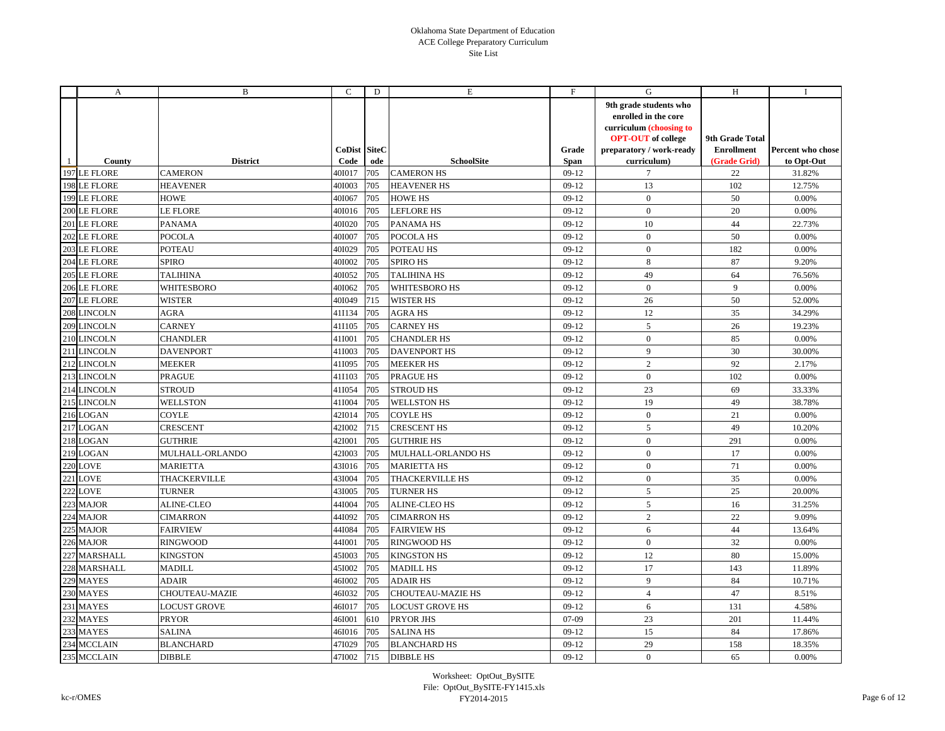|     | A               | B                   | C                           | D   | E                        | F                    | G                                                                                                                                                 | H                                                    | $\bf{I}$                        |
|-----|-----------------|---------------------|-----------------------------|-----|--------------------------|----------------------|---------------------------------------------------------------------------------------------------------------------------------------------------|------------------------------------------------------|---------------------------------|
|     | County          | <b>District</b>     | <b>CoDist SiteC</b><br>Code | ode | <b>SchoolSite</b>        | Grade<br><b>Span</b> | 9th grade students who<br>enrolled in the core<br>curriculum (choosing to<br><b>OPT-OUT</b> of college<br>preparatory / work-ready<br>curriculum) | 9th Grade Total<br><b>Enrollment</b><br>(Grade Grid) | Percent who chose<br>to Opt-Out |
|     | 197 LE FLORE    | <b>CAMERON</b>      | 401017                      | 705 | <b>CAMERON HS</b>        | $09-12$              | 7                                                                                                                                                 | 22                                                   | 31.82%                          |
|     | 198 LE FLORE    | <b>HEAVENER</b>     | 401003                      | 705 | <b>HEAVENER HS</b>       | $09-12$              | 13                                                                                                                                                | 102                                                  | 12.75%                          |
|     | 199 LE FLORE    | <b>HOWE</b>         | 401067                      | 705 | <b>HOWE HS</b>           | $09-12$              | $\boldsymbol{0}$                                                                                                                                  | 50                                                   | 0.00%                           |
|     | 200 LE FLORE    | <b>LE FLORE</b>     | 40I016                      | 705 | <b>LEFLORE HS</b>        | $09-12$              | $\mathbf{0}$                                                                                                                                      | 20                                                   | 0.00%                           |
|     | 201 LE FLORE    | <b>PANAMA</b>       | 40I020                      | 705 | <b>PANAMA HS</b>         | $09-12$              | 10                                                                                                                                                | 44                                                   | 22.73%                          |
| 202 | <b>LE FLORE</b> | <b>POCOLA</b>       | 401007                      | 705 | POCOLA HS                | $09-12$              | $\mathbf{0}$                                                                                                                                      | 50                                                   | 0.00%                           |
|     | 203 LE FLORE    | <b>POTEAU</b>       | 40I029                      | 705 | POTEAU HS                | $09-12$              | $\mathbf{0}$                                                                                                                                      | 182                                                  | 0.00%                           |
|     | 204 LE FLORE    | <b>SPIRO</b>        | 40I002                      | 705 | <b>SPIRO HS</b>          | $09-12$              | $8\,$                                                                                                                                             | 87                                                   | 9.20%                           |
|     | 205 LE FLORE    | <b>TALIHINA</b>     | 401052                      | 705 | <b>TALIHINA HS</b>       | $09-12$              | 49                                                                                                                                                | 64                                                   | 76.56%                          |
|     | 206 LE FLORE    | WHITESBORO          | 40I062                      | 705 | WHITESBORO HS            | $09-12$              | $\mathbf{0}$                                                                                                                                      | 9                                                    | 0.00%                           |
|     | 207 LE FLORE    | <b>WISTER</b>       | 40I049                      | 715 | <b>WISTER HS</b>         | $09-12$              | 26                                                                                                                                                | 50                                                   | 52.00%                          |
|     | 208 LINCOLN     | <b>AGRA</b>         | 411134                      | 705 | <b>AGRA HS</b>           | $09-12$              | 12                                                                                                                                                | 35                                                   | 34.29%                          |
|     | 209 LINCOLN     | <b>CARNEY</b>       | 411105                      | 705 | <b>CARNEY HS</b>         | $09-12$              | $\sqrt{5}$                                                                                                                                        | 26                                                   | 19.23%                          |
|     | 210 LINCOLN     | <b>CHANDLER</b>     | 411001                      | 705 | <b>CHANDLER HS</b>       | $09-12$              | $\mathbf{0}$                                                                                                                                      | 85                                                   | 0.00%                           |
|     | 211 LINCOLN     | <b>DAVENPORT</b>    | 41I003                      | 705 | <b>DAVENPORT HS</b>      | $09-12$              | 9                                                                                                                                                 | 30                                                   | 30.00%                          |
|     | 212 LINCOLN     | <b>MEEKER</b>       | 411095                      | 705 | <b>MEEKER HS</b>         | $09-12$              | $\overline{2}$                                                                                                                                    | 92                                                   | 2.17%                           |
|     | 213 LINCOLN     | <b>PRAGUE</b>       | 411103                      | 705 | <b>PRAGUE HS</b>         | $09-12$              | $\overline{0}$                                                                                                                                    | 102                                                  | 0.00%                           |
|     | 214 LINCOLN     | <b>STROUD</b>       | 41I054                      | 705 | <b>STROUD HS</b>         | $09-12$              | 23                                                                                                                                                | 69                                                   | 33.33%                          |
|     | 215 LINCOLN     | <b>WELLSTON</b>     | 41I004                      | 705 | <b>WELLSTON HS</b>       | $09-12$              | 19                                                                                                                                                | 49                                                   | 38.78%                          |
|     | 216 LOGAN       | <b>COYLE</b>        | 42I014                      | 705 | <b>COYLE HS</b>          | $09-12$              | $\overline{0}$                                                                                                                                    | 21                                                   | 0.00%                           |
|     | 217 LOGAN       | <b>CRESCENT</b>     | 421002                      | 715 | <b>CRESCENT HS</b>       | $09-12$              | 5                                                                                                                                                 | 49                                                   | 10.20%                          |
|     | 218 LOGAN       | <b>GUTHRIE</b>      | 42I001                      | 705 | <b>GUTHRIE HS</b>        | $09-12$              | $\mathbf{0}$                                                                                                                                      | 291                                                  | 0.00%                           |
|     | 219 LOGAN       | MULHALL-ORLANDO     | 42I003                      | 705 | MULHALL-ORLANDO HS       | $09-12$              | $\overline{0}$                                                                                                                                    | 17                                                   | 0.00%                           |
|     | <b>220 LOVE</b> | <b>MARIETTA</b>     | 43I016                      | 705 | <b>MARIETTA HS</b>       | $09-12$              | $\mathbf{0}$                                                                                                                                      | 71                                                   | 0.00%                           |
| 221 | <b>LOVE</b>     | THACKERVILLE        | 431004                      | 705 | <b>THACKERVILLE HS</b>   | $09-12$              | $\mathbf{0}$                                                                                                                                      | 35                                                   | 0.00%                           |
| 222 | <b>LOVE</b>     | TURNER              | 431005                      | 705 | TURNER HS                | $09-12$              | 5                                                                                                                                                 | 25                                                   | 20.00%                          |
| 223 | <b>MAJOR</b>    | <b>ALINE-CLEO</b>   | 44I004                      | 705 | <b>ALINE-CLEO HS</b>     | $09-12$              | 5                                                                                                                                                 | 16                                                   | 31.25%                          |
| 224 | <b>MAJOR</b>    | <b>CIMARRON</b>     | 44I092                      | 705 | <b>CIMARRON HS</b>       | $09-12$              | $\overline{2}$                                                                                                                                    | 22                                                   | 9.09%                           |
| 225 | <b>MAJOR</b>    | <b>FAIRVIEW</b>     | 44I084                      | 705 | <b>FAIRVIEW HS</b>       | $09-12$              | 6                                                                                                                                                 | 44                                                   | 13.64%                          |
| 226 | <b>MAJOR</b>    | <b>RINGWOOD</b>     | 44I001                      | 705 | <b>RINGWOOD HS</b>       | $09-12$              | $\overline{0}$                                                                                                                                    | 32                                                   | 0.00%                           |
| 227 | <b>MARSHALL</b> | <b>KINGSTON</b>     | 451003                      | 705 | <b>KINGSTON HS</b>       | $09-12$              | 12                                                                                                                                                | 80                                                   | 15.00%                          |
| 228 | <b>MARSHALL</b> | <b>MADILL</b>       | 451002                      | 705 | <b>MADILL HS</b>         | $09-12$              | 17                                                                                                                                                | 143                                                  | 11.89%                          |
|     | 229 MAYES       | ADAIR               | 46I002                      | 705 | <b>ADAIR HS</b>          | $09-12$              | 9                                                                                                                                                 | 84                                                   | 10.71%                          |
| 230 | <b>MAYES</b>    | CHOUTEAU-MAZIE      | 461032                      | 705 | <b>CHOUTEAU-MAZIE HS</b> | $09-12$              | $\overline{4}$                                                                                                                                    | 47                                                   | 8.51%                           |
| 231 | <b>MAYES</b>    | <b>LOCUST GROVE</b> | 46I017                      | 705 | <b>LOCUST GROVE HS</b>   | $09-12$              | 6                                                                                                                                                 | 131                                                  | 4.58%                           |
| 232 | <b>MAYES</b>    | <b>PRYOR</b>        | 46I001                      | 610 | PRYOR JHS                | $07-09$              | 23                                                                                                                                                | 201                                                  | 11.44%                          |
| 233 | <b>MAYES</b>    | <b>SALINA</b>       | 46I016                      | 705 | <b>SALINA HS</b>         | $09-12$              | 15                                                                                                                                                | 84                                                   | 17.86%                          |
| 234 | <b>MCCLAIN</b>  | <b>BLANCHARD</b>    | 47I029                      | 705 | <b>BLANCHARD HS</b>      | $09-12$              | 29                                                                                                                                                | 158                                                  | 18.35%                          |
|     | 235 MCCLAIN     | <b>DIBBLE</b>       | 47I002                      | 715 | <b>DIBBLE HS</b>         | $09-12$              | $\mathbf{0}$                                                                                                                                      | 65                                                   | 0.00%                           |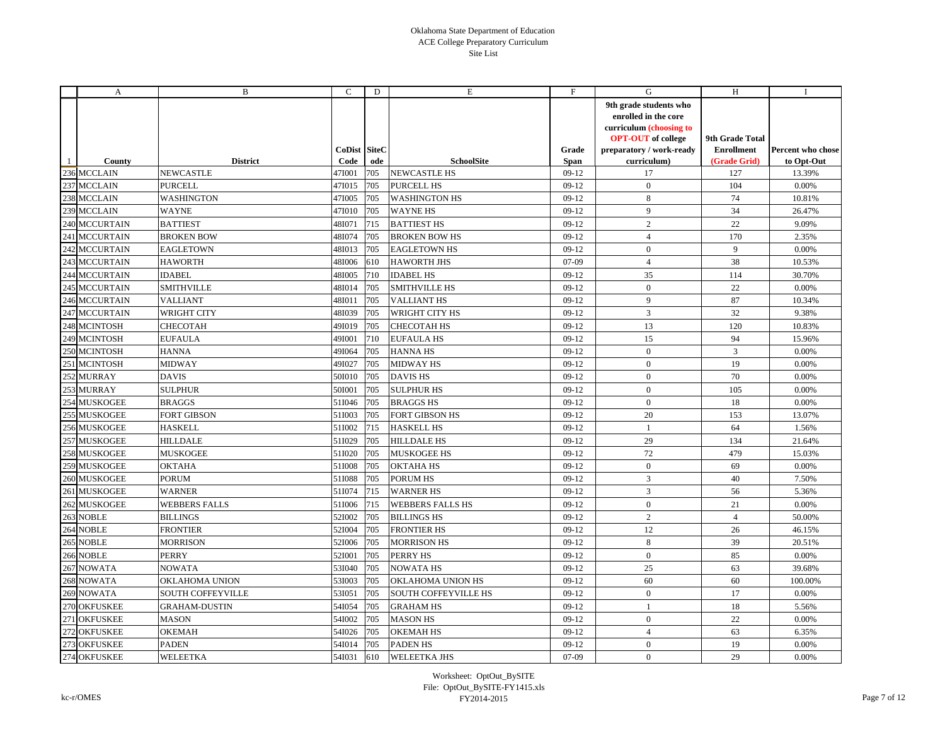|     | A                    | B                    | C                    | D   | Е                           | F                    | G                                                                                                                                                 | H                                                    | Ι.                              |
|-----|----------------------|----------------------|----------------------|-----|-----------------------------|----------------------|---------------------------------------------------------------------------------------------------------------------------------------------------|------------------------------------------------------|---------------------------------|
|     | County               | <b>District</b>      | CoDist SiteC<br>Code | ode | <b>SchoolSite</b>           | Grade<br><b>Span</b> | 9th grade students who<br>enrolled in the core<br>curriculum (choosing to<br><b>OPT-OUT</b> of college<br>preparatory / work-ready<br>curriculum) | 9th Grade Total<br><b>Enrollment</b><br>(Grade Grid) | Percent who chose<br>to Opt-Out |
|     | 236 MCCLAIN          | <b>NEWCASTLE</b>     | 47I001               | 705 | <b>NEWCASTLE HS</b>         | $09-12$              | 17                                                                                                                                                | 127                                                  | 13.39%                          |
|     | 237 MCCLAIN          | <b>PURCELL</b>       | 47I015               | 705 | <b>PURCELL HS</b>           | $09-12$              | $\mathbf{0}$                                                                                                                                      | 104                                                  | 0.00%                           |
| 238 | <b>MCCLAIN</b>       | WASHINGTON           | 47I005               | 705 | <b>WASHINGTON HS</b>        | $09-12$              | 8                                                                                                                                                 | 74                                                   | 10.81%                          |
|     | 239 MCCLAIN          | <b>WAYNE</b>         | 47I010               | 705 | <b>WAYNE HS</b>             | $09-12$              | 9                                                                                                                                                 | 34                                                   | 26.47%                          |
|     | <b>240 MCCURTAIN</b> | <b>BATTIEST</b>      | 481071               | 715 | <b>BATTIEST HS</b>          | $09-12$              | $\overline{2}$                                                                                                                                    | 22                                                   | 9.09%                           |
|     | 241 MCCURTAIN        | <b>BROKEN BOW</b>    | 481074               | 705 | <b>BROKEN BOW HS</b>        | $09-12$              | $\overline{4}$                                                                                                                                    | 170                                                  | 2.35%                           |
|     | 242 MCCURTAIN        | <b>EAGLETOWN</b>     | 48I013               | 705 | <b>EAGLETOWN HS</b>         | $09-12$              | $\mathbf{0}$                                                                                                                                      | 9                                                    | 0.00%                           |
|     | 243 MCCURTAIN        | <b>HAWORTH</b>       | 48I006               | 610 | <b>HAWORTH JHS</b>          | 07-09                | $\overline{4}$                                                                                                                                    | 38                                                   | 10.53%                          |
|     | <b>244 MCCURTAIN</b> | <b>IDABEL</b>        | 48I005               | 710 | <b>IDABEL HS</b>            | $09-12$              | 35                                                                                                                                                | 114                                                  | 30.70%                          |
|     | 245 MCCURTAIN        | <b>SMITHVILLE</b>    | 48I014               | 705 | <b>SMITHVILLE HS</b>        | $09-12$              | $\mathbf{0}$                                                                                                                                      | 22                                                   | 0.00%                           |
|     | <b>246 MCCURTAIN</b> | <b>VALLIANT</b>      | 48I011               | 705 | <b>VALLIANT HS</b>          | $09-12$              | 9                                                                                                                                                 | 87                                                   | 10.34%                          |
|     | 247 MCCURTAIN        | <b>WRIGHT CITY</b>   | 48I039               | 705 | WRIGHT CITY HS              | $09-12$              | 3                                                                                                                                                 | 32                                                   | 9.38%                           |
|     | 248 MCINTOSH         | CHECOTAH             | 49I019               | 705 | <b>CHECOTAH HS</b>          | $09-12$              | 13                                                                                                                                                | 120                                                  | 10.83%                          |
|     | 249 MCINTOSH         | <b>EUFAULA</b>       | 491001               | 710 | <b>EUFAULA HS</b>           | $09-12$              | 15                                                                                                                                                | 94                                                   | 15.96%                          |
|     | 250 MCINTOSH         | <b>HANNA</b>         | 49I064               | 705 | <b>HANNA HS</b>             | $09-12$              | $\mathbf{0}$                                                                                                                                      | 3                                                    | 0.00%                           |
|     | 251 MCINTOSH         | <b>MIDWAY</b>        | 491027               | 705 | <b>MIDWAY HS</b>            | $09-12$              | $\mathbf{0}$                                                                                                                                      | 19                                                   | 0.00%                           |
|     | 252 MURRAY           | <b>DAVIS</b>         | 501010               | 705 | <b>DAVIS HS</b>             | $09-12$              | $\mathbf{0}$                                                                                                                                      | 70                                                   | 0.00%                           |
|     | 253 MURRAY           | SULPHUR              | 501001               | 705 | <b>SULPHUR HS</b>           | $09-12$              | $\mathbf{0}$                                                                                                                                      | 105                                                  | 0.00%                           |
|     | 254 MUSKOGEE         | <b>BRAGGS</b>        | 51I046               | 705 | <b>BRAGGS HS</b>            | $09-12$              | $\mathbf{0}$                                                                                                                                      | 18                                                   | 0.00%                           |
| 255 | <b>MUSKOGEE</b>      | <b>FORT GIBSON</b>   | 51I003               | 705 | <b>FORT GIBSON HS</b>       | $09-12$              | 20                                                                                                                                                | 153                                                  | 13.07%                          |
|     | 256 MUSKOGEE         | <b>HASKELL</b>       | 51I002               | 715 | <b>HASKELL HS</b>           | $09-12$              | 1                                                                                                                                                 | 64                                                   | 1.56%                           |
|     | 257 MUSKOGEE         | <b>HILLDALE</b>      | 51I029               | 705 | <b>HILLDALE HS</b>          | $09-12$              | 29                                                                                                                                                | 134                                                  | 21.64%                          |
|     | 258 MUSKOGEE         | <b>MUSKOGEE</b>      | 51I020               | 705 | <b>MUSKOGEE HS</b>          | $09-12$              | 72                                                                                                                                                | 479                                                  | 15.03%                          |
|     | 259 MUSKOGEE         | OKTAHA               | 511008               | 705 | <b>OKTAHA HS</b>            | $09-12$              | $\mathbf{0}$                                                                                                                                      | 69                                                   | 0.00%                           |
|     | 260 MUSKOGEE         | <b>PORUM</b>         | 51I088               | 705 | PORUM HS                    | $09-12$              | $\mathfrak{Z}$                                                                                                                                    | 40                                                   | 7.50%                           |
|     | 261 MUSKOGEE         | <b>WARNER</b>        | 511074               | 715 | <b>WARNER HS</b>            | $09-12$              | $\overline{3}$                                                                                                                                    | 56                                                   | 5.36%                           |
|     | 262 MUSKOGEE         | <b>WEBBERS FALLS</b> | 511006               | 715 | <b>WEBBERS FALLS HS</b>     | $09-12$              | $\mathbf{0}$                                                                                                                                      | 21                                                   | 0.00%                           |
| 263 | <b>NOBLE</b>         | <b>BILLINGS</b>      | 52I002               | 705 | <b>BILLINGS HS</b>          | $09-12$              | $\overline{2}$                                                                                                                                    | $\overline{4}$                                       | 50.00%                          |
| 264 | <b>NOBLE</b>         | FRONTIER             | 52I004               | 705 | <b>FRONTIER HS</b>          | $09-12$              | 12                                                                                                                                                | 26                                                   | 46.15%                          |
| 265 | <b>NOBLE</b>         | MORRISON             | 52I006               | 705 | <b>MORRISON HS</b>          | $09-12$              | 8                                                                                                                                                 | 39                                                   | 20.51%                          |
|     | 266 NOBLE            | <b>PERRY</b>         | 521001               | 705 | PERRY HS                    | $09-12$              | $\mathbf{0}$                                                                                                                                      | 85                                                   | 0.00%                           |
|     | 267 NOWATA           | <b>NOWATA</b>        | 53I040               | 705 | <b>NOWATA HS</b>            | $09-12$              | 25                                                                                                                                                | 63                                                   | 39.68%                          |
|     | 268 NOWATA           | OKLAHOMA UNION       | 531003               | 705 | OKLAHOMA UNION HS           | $09-12$              | 60                                                                                                                                                | 60                                                   | 100.00%                         |
|     | 269 NOWATA           | SOUTH COFFEYVILLE    | 531051               | 705 | <b>SOUTH COFFEYVILLE HS</b> | $09-12$              | $\mathbf{0}$                                                                                                                                      | 17                                                   | 0.00%                           |
|     | 270 OKFUSKEE         | GRAHAM-DUSTIN        | 54I054               | 705 | <b>GRAHAM HS</b>            | $09-12$              | 1                                                                                                                                                 | 18                                                   | 5.56%                           |
|     | 271 OKFUSKEE         | <b>MASON</b>         | 54I002               | 705 | <b>MASON HS</b>             | $09-12$              | $\mathbf{0}$                                                                                                                                      | $22\,$                                               | 0.00%                           |
|     | 272 OKFUSKEE         | <b>OKEMAH</b>        | 54I026               | 705 | <b>OKEMAH HS</b>            | $09-12$              | $\overline{4}$                                                                                                                                    | 63                                                   | 6.35%                           |
|     | 273 OKFUSKEE         | <b>PADEN</b>         | 54I014               | 705 | <b>PADEN HS</b>             | $09-12$              | $\mathbf{0}$                                                                                                                                      | 19                                                   | 0.00%                           |
|     | 274 OKFUSKEE         | WELEETKA             | 54I031               | 610 | <b>WELEETKA JHS</b>         | 07-09                | $\mathbf{0}$                                                                                                                                      | 29                                                   | 0.00%                           |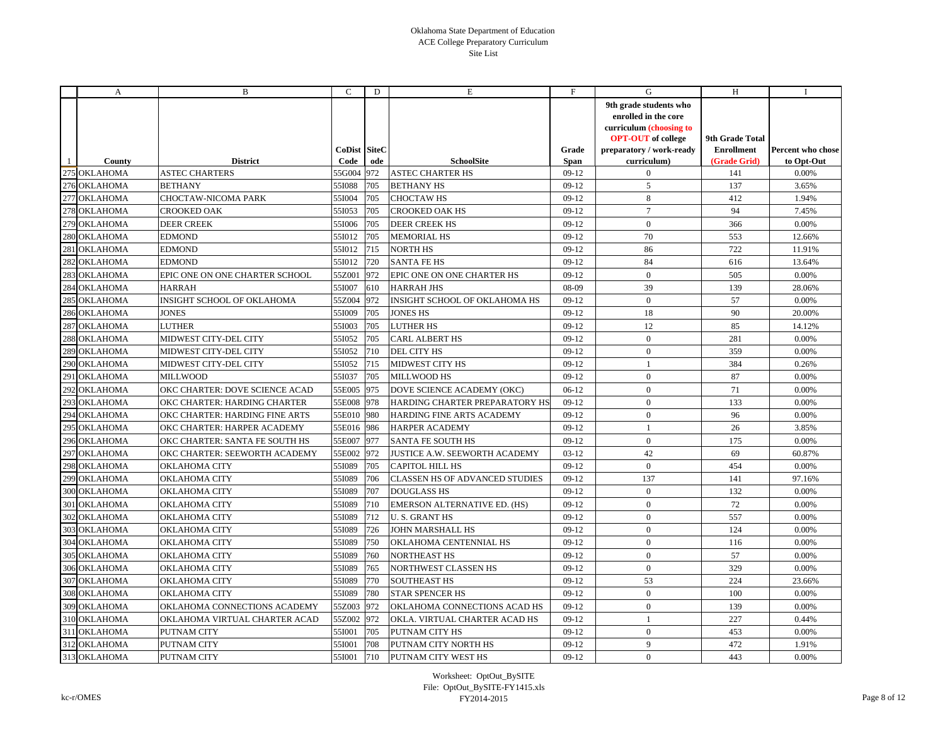|     | A               | B                                 | C                           | D   | E                                     | F             | G                                                                                                                                                 | H                                                    | $\bf{I}$                        |
|-----|-----------------|-----------------------------------|-----------------------------|-----|---------------------------------------|---------------|---------------------------------------------------------------------------------------------------------------------------------------------------|------------------------------------------------------|---------------------------------|
|     | County          | <b>District</b>                   | <b>CoDist SiteC</b><br>Code | ode | <b>SchoolSite</b>                     | Grade<br>Span | 9th grade students who<br>enrolled in the core<br>curriculum (choosing to<br><b>OPT-OUT</b> of college<br>preparatory / work-ready<br>curriculum) | 9th Grade Total<br><b>Enrollment</b><br>(Grade Grid) | Percent who chose<br>to Opt-Out |
|     | 275 OKLAHOMA    | <b>ASTEC CHARTERS</b>             | 55G004 972                  |     | <b>ASTEC CHARTER HS</b>               | $09-12$       | $\mathbf{0}$                                                                                                                                      | 141                                                  | 0.00%                           |
| 276 | <b>OKLAHOMA</b> | <b>BETHANY</b>                    | 55I088                      | 705 | <b>BETHANY HS</b>                     | $09-12$       | 5                                                                                                                                                 | 137                                                  | 3.65%                           |
| 277 | <b>OKLAHOMA</b> | CHOCTAW-NICOMA PARK               | 551004                      | 705 | <b>CHOCTAW HS</b>                     | $09-12$       | $8\,$                                                                                                                                             | 412                                                  | 1.94%                           |
| 278 | <b>OKLAHOMA</b> | CROOKED OAK                       | 551053                      | 705 | <b>CROOKED OAK HS</b>                 | $09-12$       | $\overline{7}$                                                                                                                                    | 94                                                   | 7.45%                           |
| 279 | <b>OKLAHOMA</b> | <b>DEER CREEK</b>                 | 551006                      | 705 | <b>DEER CREEK HS</b>                  | $09-12$       | $\boldsymbol{0}$                                                                                                                                  | 366                                                  | 0.00%                           |
| 280 | OKLAHOMA        | <b>EDMOND</b>                     | 551012                      | 705 | <b>MEMORIAL HS</b>                    | $09-12$       | 70                                                                                                                                                | 553                                                  | 12.66%                          |
|     | 281 OKLAHOMA    | <b>EDMOND</b>                     | 551012 715                  |     | <b>NORTH HS</b>                       | $09-12$       | 86                                                                                                                                                | 722                                                  | 11.91%                          |
| 282 | <b>OKLAHOMA</b> | <b>EDMOND</b>                     | 55I012                      | 720 | <b>SANTA FE HS</b>                    | $09-12$       | 84                                                                                                                                                | 616                                                  | 13.64%                          |
| 283 | <b>OKLAHOMA</b> | EPIC ONE ON ONE CHARTER SCHOOL    | 55Z001 972                  |     | EPIC ONE ON ONE CHARTER HS            | $09-12$       | $\mathbf{0}$                                                                                                                                      | 505                                                  | 0.00%                           |
| 284 | <b>OKLAHOMA</b> | <b>HARRAH</b>                     | 551007                      | 610 | <b>HARRAH JHS</b>                     | 08-09         | 39                                                                                                                                                | 139                                                  | 28.06%                          |
| 285 | <b>OKLAHOMA</b> | <b>INSIGHT SCHOOL OF OKLAHOMA</b> | 55Z004 972                  |     | <b>INSIGHT SCHOOL OF OKLAHOMA HS</b>  | $09-12$       | $\mathbf{0}$                                                                                                                                      | 57                                                   | 0.00%                           |
| 286 | <b>OKLAHOMA</b> | <b>JONES</b>                      | 551009                      | 705 | <b>JONES HS</b>                       | $09-12$       | 18                                                                                                                                                | 90                                                   | 20.00%                          |
| 287 | <b>OKLAHOMA</b> | <b>LUTHER</b>                     | 551003                      | 705 | <b>LUTHER HS</b>                      | $09-12$       | 12                                                                                                                                                | 85                                                   | 14.12%                          |
| 288 | <b>OKLAHOMA</b> | MIDWEST CITY-DEL CITY             | 55I052                      | 705 | <b>CARL ALBERT HS</b>                 | $09-12$       | $\boldsymbol{0}$                                                                                                                                  | 281                                                  | 0.00%                           |
| 289 | <b>OKLAHOMA</b> | MIDWEST CITY-DEL CITY             | 55I052                      | 710 | DEL CITY HS                           | $09-12$       | $\mathbf{0}$                                                                                                                                      | 359                                                  | 0.00%                           |
| 290 | <b>OKLAHOMA</b> | MIDWEST CITY-DEL CITY             | 551052 715                  |     | MIDWEST CITY HS                       | $09-12$       | $\mathbf{1}$                                                                                                                                      | 384                                                  | 0.26%                           |
|     | 291 OKLAHOMA    | <b>MILLWOOD</b>                   | 55I037                      | 705 | <b>MILLWOOD HS</b>                    | $09-12$       | $\mathbf{0}$                                                                                                                                      | 87                                                   | 0.00%                           |
| 292 | <b>OKLAHOMA</b> | OKC CHARTER: DOVE SCIENCE ACAD    | 55E005 975                  |     | DOVE SCIENCE ACADEMY (OKC)            | $06-12$       | $\mathbf{0}$                                                                                                                                      | 71                                                   | 0.00%                           |
| 293 | <b>OKLAHOMA</b> | OKC CHARTER: HARDING CHARTER      | 55E008 978                  |     | HARDING CHARTER PREPARATORY HS        | $09-12$       | $\overline{0}$                                                                                                                                    | 133                                                  | 0.00%                           |
| 294 | <b>OKLAHOMA</b> | OKC CHARTER: HARDING FINE ARTS    | 55E010 980                  |     | HARDING FINE ARTS ACADEMY             | $09-12$       | $\overline{0}$                                                                                                                                    | 96                                                   | 0.00%                           |
|     | 295 OKLAHOMA    | OKC CHARTER: HARPER ACADEMY       | 55E016 986                  |     | <b>HARPER ACADEMY</b>                 | $09-12$       | $\mathbf{1}$                                                                                                                                      | 26                                                   | 3.85%                           |
| 296 | <b>OKLAHOMA</b> | OKC CHARTER: SANTA FE SOUTH HS    | 55E007 977                  |     | <b>SANTA FE SOUTH HS</b>              | $09-12$       | $\mathbf{0}$                                                                                                                                      | 175                                                  | 0.00%                           |
| 297 | <b>OKLAHOMA</b> | OKC CHARTER: SEEWORTH ACADEMY     | 55E002 972                  |     | JUSTICE A.W. SEEWORTH ACADEMY         | $03-12$       | 42                                                                                                                                                | 69                                                   | 60.87%                          |
|     | 298 OKLAHOMA    | <b>OKLAHOMA CITY</b>              | 55I089                      | 705 | <b>CAPITOL HILL HS</b>                | $09-12$       | $\mathbf{0}$                                                                                                                                      | 454                                                  | 0.00%                           |
| 299 | OKLAHOMA        | <b>OKLAHOMA CITY</b>              | 55I089                      | 706 | <b>CLASSEN HS OF ADVANCED STUDIES</b> | $09-12$       | 137                                                                                                                                               | 141                                                  | 97.16%                          |
| 300 | <b>OKLAHOMA</b> | <b>OKLAHOMA CITY</b>              | 55I089                      | 707 | <b>DOUGLASS HS</b>                    | $09-12$       | $\mathbf{0}$                                                                                                                                      | 132                                                  | 0.00%                           |
|     | 301 OKLAHOMA    | OKLAHOMA CITY                     | 55I089                      | 710 | EMERSON ALTERNATIVE ED. (HS)          | $09-12$       | $\mathbf{0}$                                                                                                                                      | 72                                                   | 0.00%                           |
|     | 302 OKLAHOMA    | <b>OKLAHOMA CITY</b>              | 55I089                      | 712 | <b>U.S. GRANT HS</b>                  | $09-12$       | $\mathbf{0}$                                                                                                                                      | 557                                                  | 0.00%                           |
| 303 | <b>OKLAHOMA</b> | <b>OKLAHOMA CITY</b>              | 55I089                      | 726 | JOHN MARSHALL HS                      | $09-12$       | $\mathbf{0}$                                                                                                                                      | 124                                                  | 0.00%                           |
|     | 304 OKLAHOMA    | <b>OKLAHOMA CITY</b>              | 55I089                      | 750 | OKLAHOMA CENTENNIAL HS                | $09-12$       | $\mathbf{0}$                                                                                                                                      | 116                                                  | 0.00%                           |
| 305 | <b>OKLAHOMA</b> | <b>OKLAHOMA CITY</b>              | 55I089                      | 760 | <b>NORTHEAST HS</b>                   | $09-12$       | $\mathbf{0}$                                                                                                                                      | 57                                                   | 0.00%                           |
| 306 | <b>OKLAHOMA</b> | <b>OKLAHOMA CITY</b>              | 55I089                      | 765 | NORTHWEST CLASSEN HS                  | $09-12$       | $\mathbf{0}$                                                                                                                                      | 329                                                  | 0.00%                           |
|     | 307 OKLAHOMA    | <b>OKLAHOMA CITY</b>              | 55I089                      | 770 | <b>SOUTHEAST HS</b>                   | $09-12$       | 53                                                                                                                                                | 224                                                  | 23.66%                          |
|     | 308 OKLAHOMA    | <b>OKLAHOMA CITY</b>              | 55I089                      | 780 | <b>STAR SPENCER HS</b>                | $09-12$       | $\mathbf{0}$                                                                                                                                      | 100                                                  | 0.00%                           |
| 309 | <b>OKLAHOMA</b> | OKLAHOMA CONNECTIONS ACADEMY      | 55Z003 972                  |     | OKLAHOMA CONNECTIONS ACAD HS          | $09-12$       | $\mathbf{0}$                                                                                                                                      | 139                                                  | 0.00%                           |
|     | 310 OKLAHOMA    | OKLAHOMA VIRTUAL CHARTER ACAD     | 55Z002 972                  |     | OKLA. VIRTUAL CHARTER ACAD HS         | $09-12$       | $\mathbf{1}$                                                                                                                                      | 227                                                  | 0.44%                           |
|     | 311 OKLAHOMA    | PUTNAM CITY                       | 551001                      | 705 | PUTNAM CITY HS                        | $09-12$       | $\mathbf{0}$                                                                                                                                      | 453                                                  | 0.00%                           |
|     | 312 OKLAHOMA    | PUTNAM CITY                       | 551001                      | 708 | PUTNAM CITY NORTH HS                  | $09-12$       | 9                                                                                                                                                 | 472                                                  | 1.91%                           |
|     | 313 OKLAHOMA    | PUTNAM CITY                       | 551001                      | 710 | PUTNAM CITY WEST HS                   | $09-12$       | $\Omega$                                                                                                                                          | 443                                                  | 0.00%                           |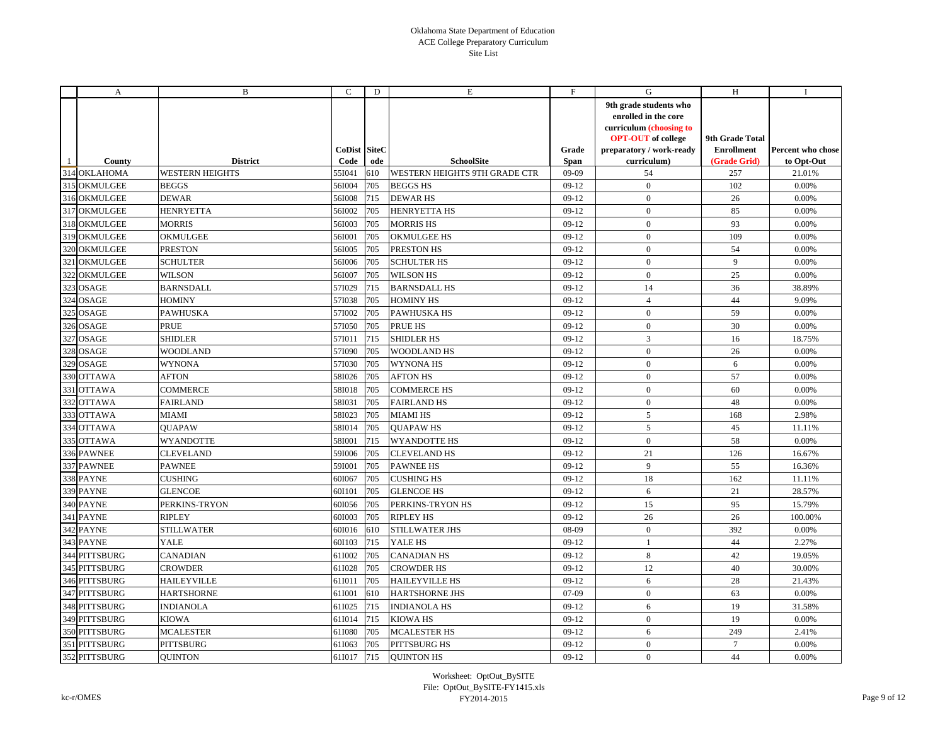|     | A               | B                      | C                    | D   | Е                                    | F             | G                                                                                                                                                 | H                                                    | Ι.                              |
|-----|-----------------|------------------------|----------------------|-----|--------------------------------------|---------------|---------------------------------------------------------------------------------------------------------------------------------------------------|------------------------------------------------------|---------------------------------|
|     | County          | <b>District</b>        | CoDist SiteC<br>Code | ode | <b>SchoolSite</b>                    | Grade<br>Span | 9th grade students who<br>enrolled in the core<br>curriculum (choosing to<br><b>OPT-OUT</b> of college<br>preparatory / work-ready<br>curriculum) | 9th Grade Total<br><b>Enrollment</b><br>(Grade Grid) | Percent who chose<br>to Opt-Out |
|     | 314 OKLAHOMA    | <b>WESTERN HEIGHTS</b> | 55I041               | 610 | <b>WESTERN HEIGHTS 9TH GRADE CTR</b> | $09-09$       | 54                                                                                                                                                | 257                                                  | 21.01%                          |
|     | 315 OKMULGEE    | <b>BEGGS</b>           | 56I004               | 705 | <b>BEGGS HS</b>                      | $09-12$       | $\boldsymbol{0}$                                                                                                                                  | 102                                                  | 0.00%                           |
| 316 | <b>OKMULGEE</b> | <b>DEWAR</b>           | 56I008               | 715 | <b>DEWAR HS</b>                      | $09-12$       | $\mathbf{0}$                                                                                                                                      | 26                                                   | 0.00%                           |
|     | 317 OKMULGEE    | <b>HENRYETTA</b>       | 56I002               | 705 | <b>HENRYETTA HS</b>                  | $09-12$       | $\mathbf{0}$                                                                                                                                      | 85                                                   | 0.00%                           |
|     | 318 OKMULGEE    | <b>MORRIS</b>          | 56I003               | 705 | <b>MORRIS HS</b>                     | $09-12$       | $\mathbf{0}$                                                                                                                                      | 93                                                   | 0.00%                           |
| 319 | OKMULGEE        | OKMULGEE               | 56I001               | 705 | <b>OKMULGEE HS</b>                   | $09-12$       | $\mathbf{0}$                                                                                                                                      | 109                                                  | 0.00%                           |
| 320 | OKMULGEE        | <b>PRESTON</b>         | 56I005               | 705 | PRESTON HS                           | $09-12$       | $\mathbf{0}$                                                                                                                                      | 54                                                   | 0.00%                           |
|     | 321 OKMULGEE    | <b>SCHULTER</b>        | 56I006               | 705 | <b>SCHULTER HS</b>                   | $09-12$       | $\mathbf{0}$                                                                                                                                      | $\mathbf{Q}$                                         | 0.00%                           |
| 322 | <b>OKMULGEE</b> | <b>WILSON</b>          | 56I007               | 705 | <b>WILSON HS</b>                     | $09-12$       | $\mathbf{0}$                                                                                                                                      | 25                                                   | 0.00%                           |
| 323 | OSAGE           | <b>BARNSDALL</b>       | 57I029               | 715 | <b>BARNSDALL HS</b>                  | $09-12$       | 14                                                                                                                                                | 36                                                   | 38.89%                          |
| 324 | <b>OSAGE</b>    | <b>HOMINY</b>          | 57I038               | 705 | <b>HOMINY HS</b>                     | $09-12$       | $\overline{4}$                                                                                                                                    | 44                                                   | 9.09%                           |
| 325 | <b>OSAGE</b>    | <b>PAWHUSKA</b>        | 57I002               | 705 | <b>PAWHUSKA HS</b>                   | $09-12$       | $\mathbf{0}$                                                                                                                                      | 59                                                   | 0.00%                           |
| 326 | OSAGE           | PRUE                   | 57I050               | 705 | PRUE HS                              | $09-12$       | $\mathbf{0}$                                                                                                                                      | 30                                                   | 0.00%                           |
| 327 | <b>OSAGE</b>    | <b>SHIDLER</b>         | 57I011               | 715 | <b>SHIDLER HS</b>                    | $09-12$       | 3                                                                                                                                                 | 16                                                   | 18.75%                          |
|     | 328 OSAGE       | <b>WOODLAND</b>        | 57I090               | 705 | <b>WOODLAND HS</b>                   | $09-12$       | $\mathbf{0}$                                                                                                                                      | 26                                                   | 0.00%                           |
| 329 | <b>OSAGE</b>    | <b>WYNONA</b>          | 57I030               | 705 | <b>WYNONA HS</b>                     | $09-12$       | $\mathbf{0}$                                                                                                                                      | 6                                                    | 0.00%                           |
| 330 | <b>OTTAWA</b>   | <b>AFTON</b>           | 58I026               | 705 | <b>AFTON HS</b>                      | $09-12$       | $\mathbf{0}$                                                                                                                                      | 57                                                   | 0.00%                           |
|     | 331 OTTAWA      | <b>COMMERCE</b>        | 58I018               | 705 | <b>COMMERCE HS</b>                   | $09-12$       | $\mathbf{0}$                                                                                                                                      | 60                                                   | 0.00%                           |
|     | 332 OTTAWA      | <b>FAIRLAND</b>        | 58I031               | 705 | <b>FAIRLAND HS</b>                   | $09-12$       | $\mathbf{0}$                                                                                                                                      | 48                                                   | 0.00%                           |
| 333 | <b>OTTAWA</b>   | <b>MIAMI</b>           | 58I023               | 705 | <b>MIAMI HS</b>                      | $09-12$       | 5                                                                                                                                                 | 168                                                  | 2.98%                           |
|     | 334 OTTAWA      | <b>OUAPAW</b>          | 58I014               | 705 | <b>OUAPAWHS</b>                      | $09-12$       | 5                                                                                                                                                 | 45                                                   | 11.11%                          |
| 335 | <b>OTTAWA</b>   | <b>WYANDOTTE</b>       | 581001               | 715 | <b>WYANDOTTE HS</b>                  | $09-12$       | $\mathbf{0}$                                                                                                                                      | 58                                                   | 0.00%                           |
|     | 336 PAWNEE      | <b>CLEVELAND</b>       | 59I006               | 705 | <b>CLEVELAND HS</b>                  | $09-12$       | 21                                                                                                                                                | 126                                                  | 16.67%                          |
|     | 337 PAWNEE      | <b>PAWNEE</b>          | 591001               | 705 | <b>PAWNEE HS</b>                     | $09-12$       | 9                                                                                                                                                 | 55                                                   | 16.36%                          |
|     | 338 PAYNE       | <b>CUSHING</b>         | 601067               | 705 | <b>CUSHING HS</b>                    | $09-12$       | 18                                                                                                                                                | 162                                                  | 11.11%                          |
|     | 339 PAYNE       | <b>GLENCOE</b>         | 601101               | 705 | <b>GLENCOE HS</b>                    | $09-12$       | 6                                                                                                                                                 | 21                                                   | 28.57%                          |
|     | 340 PAYNE       | PERKINS-TRYON          | 601056               | 705 | PERKINS-TRYON HS                     | $09-12$       | 15                                                                                                                                                | 95                                                   | 15.79%                          |
|     | 341 PAYNE       | <b>RIPLEY</b>          | 601003               | 705 | <b>RIPLEY HS</b>                     | $09-12$       | 26                                                                                                                                                | 26                                                   | 100.00%                         |
| 342 | <b>PAYNE</b>    | <b>STILLWATER</b>      | 601016               | 610 | STILLWATER JHS                       | 08-09         | $\mathbf{0}$                                                                                                                                      | 392                                                  | 0.00%                           |
|     | 343 PAYNE       | YALE                   | 60I103               | 715 | YALE HS                              | $09-12$       | $\mathbf{1}$                                                                                                                                      | 44                                                   | 2.27%                           |
|     | 344 PITTSBURG   | CANADIAN               | 611002               | 705 | <b>CANADIAN HS</b>                   | $09-12$       | $\,$ 8 $\,$                                                                                                                                       | 42                                                   | 19.05%                          |
|     | 345 PITTSBURG   | <b>CROWDER</b>         | 611028               | 705 | <b>CROWDER HS</b>                    | $09-12$       | 12                                                                                                                                                | 40                                                   | 30.00%                          |
|     | 346 PITTSBURG   | <b>HAILEYVILLE</b>     | 611011               | 705 | <b>HAILEYVILLE HS</b>                | $09-12$       | 6                                                                                                                                                 | 28                                                   | 21.43%                          |
|     | 347 PITTSBURG   | <b>HARTSHORNE</b>      | 61I001               | 610 | <b>HARTSHORNE JHS</b>                | 07-09         | $\mathbf{0}$                                                                                                                                      | 63                                                   | 0.00%                           |
|     | 348 PITTSBURG   | <b>INDIANOLA</b>       | 611025               | 715 | <b>INDIANOLA HS</b>                  | $09-12$       | 6                                                                                                                                                 | 19                                                   | 31.58%                          |
|     | 349 PITTSBURG   | KIOWA                  | 611014 715           |     | <b>KIOWA HS</b>                      | $09-12$       | $\mathbf{0}$                                                                                                                                      | 19                                                   | 0.00%                           |
|     | 350 PITTSBURG   | <b>MCALESTER</b>       | 61I080               | 705 | <b>MCALESTER HS</b>                  | $09-12$       | 6                                                                                                                                                 | 249                                                  | 2.41%                           |
|     | 351 PITTSBURG   | <b>PITTSBURG</b>       | 61I063               | 705 | <b>PITTSBURG HS</b>                  | $09-12$       | $\mathbf{0}$                                                                                                                                      | $\overline{7}$                                       | 0.00%                           |
|     | 352 PITTSBURG   | <b>OUINTON</b>         | 611017 715           |     | <b>OUINTON HS</b>                    | $09-12$       | $\mathbf{0}$                                                                                                                                      | 44                                                   | 0.00%                           |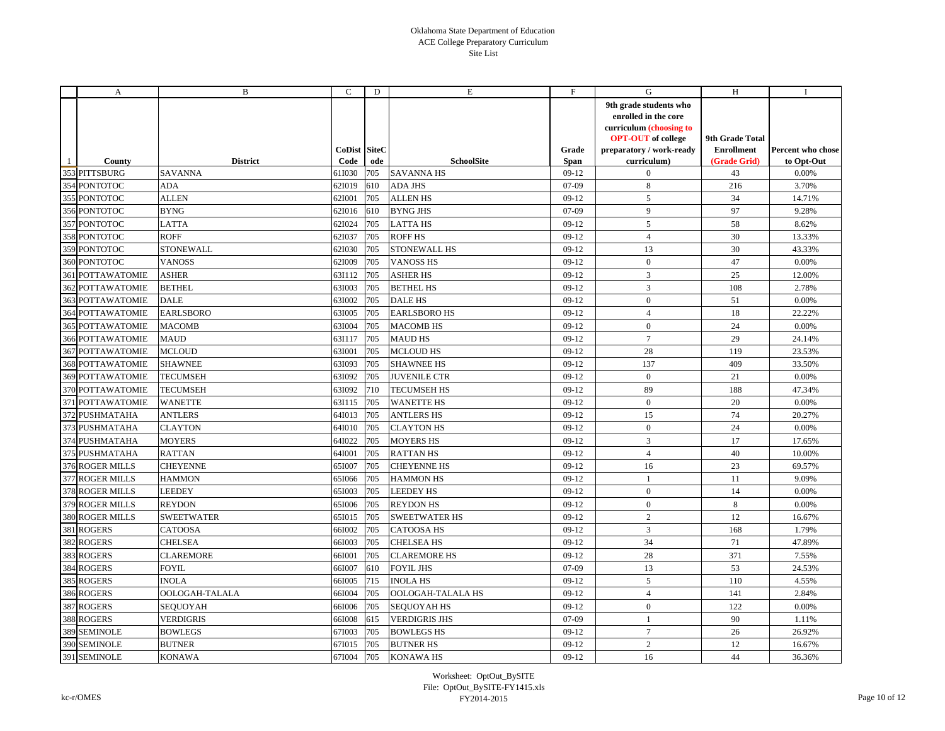|     | A                       | B                 | C                           | D   | E                    | F                    | G                                                                                                                                                 | H                                                    | $\bf{I}$                        |
|-----|-------------------------|-------------------|-----------------------------|-----|----------------------|----------------------|---------------------------------------------------------------------------------------------------------------------------------------------------|------------------------------------------------------|---------------------------------|
|     | County                  | <b>District</b>   | <b>CoDist SiteC</b><br>Code | ode | <b>SchoolSite</b>    | Grade<br><b>Span</b> | 9th grade students who<br>enrolled in the core<br>curriculum (choosing to<br><b>OPT-OUT</b> of college<br>preparatory / work-ready<br>curriculum) | 9th Grade Total<br><b>Enrollment</b><br>(Grade Grid) | Percent who chose<br>to Opt-Out |
|     | 353 PITTSBURG           | <b>SAVANNA</b>    | 61I030                      | 705 | <b>SAVANNA HS</b>    | $09-12$              | $\mathbf{0}$                                                                                                                                      | 43                                                   | 0.00%                           |
| 354 | <b>PONTOTOC</b>         | ADA               | 62I019                      | 610 | <b>ADA JHS</b>       | 07-09                | 8                                                                                                                                                 | 216                                                  | 3.70%                           |
| 355 | <b>PONTOTOC</b>         | <b>ALLEN</b>      | 621001                      | 705 | <b>ALLEN HS</b>      | $09-12$              | 5                                                                                                                                                 | 34                                                   | 14.71%                          |
|     | 356 PONTOTOC            | <b>BYNG</b>       | 62I016                      | 610 | <b>BYNG JHS</b>      | $07-09$              | 9                                                                                                                                                 | 97                                                   | 9.28%                           |
|     | 357 PONTOTOC            | <b>LATTA</b>      | 62I024                      | 705 | <b>LATTA HS</b>      | $09-12$              | 5                                                                                                                                                 | 58                                                   | 8.62%                           |
| 358 | <b>PONTOTOC</b>         | <b>ROFF</b>       | 62I037                      | 705 | <b>ROFF HS</b>       | $09-12$              | $\overline{4}$                                                                                                                                    | 30                                                   | 13.33%                          |
|     | 359 PONTOTOC            | <b>STONEWALL</b>  | 62I030                      | 705 | STONEWALL HS         | $09-12$              | 13                                                                                                                                                | 30                                                   | 43.33%                          |
|     | 360 PONTOTOC            | <b>VANOSS</b>     | 621009                      | 705 | <b>VANOSS HS</b>     | $09-12$              | $\mathbf{0}$                                                                                                                                      | 47                                                   | 0.00%                           |
|     | <b>361 POTTAWATOMIE</b> | <b>ASHER</b>      | 63I112                      | 705 | <b>ASHER HS</b>      | $09-12$              | 3                                                                                                                                                 | 25                                                   | 12.00%                          |
| 362 | POTTAWATOMIE            | <b>BETHEL</b>     | 631003                      | 705 | <b>BETHEL HS</b>     | $09-12$              | $\overline{3}$                                                                                                                                    | 108                                                  | 2.78%                           |
|     | <b>363 POTTAWATOMIE</b> | <b>DALE</b>       | 631002                      | 705 | <b>DALE HS</b>       | $09-12$              | $\mathbf{0}$                                                                                                                                      | 51                                                   | 0.00%                           |
| 364 | <b>POTTAWATOMIE</b>     | <b>EARLSBORO</b>  | 631005                      | 705 | <b>EARLSBORO HS</b>  | $09-12$              | $\overline{4}$                                                                                                                                    | 18                                                   | 22.22%                          |
|     | <b>365 POTTAWATOMIE</b> | <b>MACOMB</b>     | 631004                      | 705 | <b>MACOMB HS</b>     | $09-12$              | $\mathbf{0}$                                                                                                                                      | 24                                                   | 0.00%                           |
|     | 366 POTTAWATOMIE        | <b>MAUD</b>       | 63I117                      | 705 | <b>MAUD HS</b>       | $09-12$              | $7\phantom{.0}$                                                                                                                                   | 29                                                   | 24.14%                          |
|     | <b>367 POTTAWATOMIE</b> | <b>MCLOUD</b>     | 631001                      | 705 | <b>MCLOUD HS</b>     | $09-12$              | 28                                                                                                                                                | 119                                                  | 23.53%                          |
| 368 | POTTAWATOMIE            | <b>SHAWNEE</b>    | 63I093                      | 705 | <b>SHAWNEE HS</b>    | $09-12$              | 137                                                                                                                                               | 409                                                  | 33.50%                          |
|     | <b>369 POTTAWATOMIE</b> | <b>TECUMSEH</b>   | 63I092                      | 705 | <b>JUVENILE CTR</b>  | $09-12$              | $\mathbf{0}$                                                                                                                                      | 21                                                   | 0.00%                           |
|     | 370 POTTAWATOMIE        | <b>TECUMSEH</b>   | 63I092                      | 710 | <b>TECUMSEH HS</b>   | $09-12$              | 89                                                                                                                                                | 188                                                  | 47.34%                          |
| 371 | <b>POTTAWATOMIE</b>     | <b>WANETTE</b>    | 63I115                      | 705 | <b>WANETTE HS</b>    | $09-12$              | $\mathbf{0}$                                                                                                                                      | 20                                                   | 0.00%                           |
|     | 372 PUSHMATAHA          | <b>ANTLERS</b>    | 64I013                      | 705 | <b>ANTLERS HS</b>    | $09-12$              | 15                                                                                                                                                | 74                                                   | 20.27%                          |
|     | 373 PUSHMATAHA          | <b>CLAYTON</b>    | 64I010                      | 705 | <b>CLAYTON HS</b>    | $09-12$              | $\overline{0}$                                                                                                                                    | 24                                                   | 0.00%                           |
| 374 | <b>PUSHMATAHA</b>       | <b>MOYERS</b>     | 64I022                      | 705 | <b>MOYERS HS</b>     | $09-12$              | 3                                                                                                                                                 | 17                                                   | 17.65%                          |
|     | 375 PUSHMATAHA          | <b>RATTAN</b>     | 64I001                      | 705 | <b>RATTANHS</b>      | $09-12$              | $\overline{4}$                                                                                                                                    | 40                                                   | 10.00%                          |
|     | 376 ROGER MILLS         | <b>CHEYENNE</b>   | 651007                      | 705 | <b>CHEYENNE HS</b>   | $09-12$              | 16                                                                                                                                                | 23                                                   | 69.57%                          |
|     | 377 ROGER MILLS         | <b>HAMMON</b>     | 651066                      | 705 | <b>HAMMON HS</b>     | $09-12$              | $\mathbf{1}$                                                                                                                                      | 11                                                   | 9.09%                           |
|     | 378 ROGER MILLS         | <b>LEEDEY</b>     | 651003                      | 705 | <b>LEEDEY HS</b>     | $09-12$              | $\mathbf{0}$                                                                                                                                      | 14                                                   | 0.00%                           |
|     | 379 ROGER MILLS         | <b>REYDON</b>     | 651006                      | 705 | <b>REYDON HS</b>     | $09-12$              | $\mathbf{0}$                                                                                                                                      | 8                                                    | 0.00%                           |
|     | 380 ROGER MILLS         | <b>SWEETWATER</b> | 651015                      | 705 | <b>SWEETWATER HS</b> | $09-12$              | $\overline{2}$                                                                                                                                    | 12                                                   | 16.67%                          |
| 381 | <b>ROGERS</b>           | CATOOSA           | 66I002                      | 705 | CATOOSA HS           | $09-12$              | $\overline{3}$                                                                                                                                    | 168                                                  | 1.79%                           |
|     | 382 ROGERS              | <b>CHELSEA</b>    | 66I003                      | 705 | <b>CHELSEA HS</b>    | $09-12$              | 34                                                                                                                                                | 71                                                   | 47.89%                          |
| 383 | <b>ROGERS</b>           | <b>CLAREMORE</b>  | 66I001                      | 705 | <b>CLAREMORE HS</b>  | $09-12$              | 28                                                                                                                                                | 371                                                  | 7.55%                           |
| 384 | <b>ROGERS</b>           | <b>FOYIL</b>      | 66I007                      | 610 | <b>FOYIL JHS</b>     | 07-09                | 13                                                                                                                                                | 53                                                   | 24.53%                          |
| 385 | <b>ROGERS</b>           | <b>INOLA</b>      | 66I005                      | 715 | <b>INOLA HS</b>      | $09-12$              | 5                                                                                                                                                 | 110                                                  | 4.55%                           |
|     | 386 ROGERS              | OOLOGAH-TALALA    | 66I004                      | 705 | OOLOGAH-TALALA HS    | $09-12$              | $\overline{4}$                                                                                                                                    | 141                                                  | 2.84%                           |
| 387 | <b>ROGERS</b>           | SEQUOYAH          | 66I006                      | 705 | <b>SEQUOYAH HS</b>   | $09-12$              | $\mathbf{0}$                                                                                                                                      | 122                                                  | 0.00%                           |
|     | 388 ROGERS              | <b>VERDIGRIS</b>  | 66I008                      | 615 | <b>VERDIGRIS JHS</b> | $07-09$              | $\mathbf{1}$                                                                                                                                      | 90                                                   | 1.11%                           |
|     | 389 SEMINOLE            | <b>BOWLEGS</b>    | 67I003                      | 705 | <b>BOWLEGS HS</b>    | $09-12$              | $7\overline{ }$                                                                                                                                   | 26                                                   | 26.92%                          |
|     | 390 SEMINOLE            | <b>BUTNER</b>     | 67I015                      | 705 | <b>BUTNER HS</b>     | $09-12$              | $\overline{2}$                                                                                                                                    | 12                                                   | 16.67%                          |
|     | 391 SEMINOLE            | <b>KONAWA</b>     | 67I004                      | 705 | <b>KONAWA HS</b>     | $09-12$              | 16                                                                                                                                                | 44                                                   | 36.36%                          |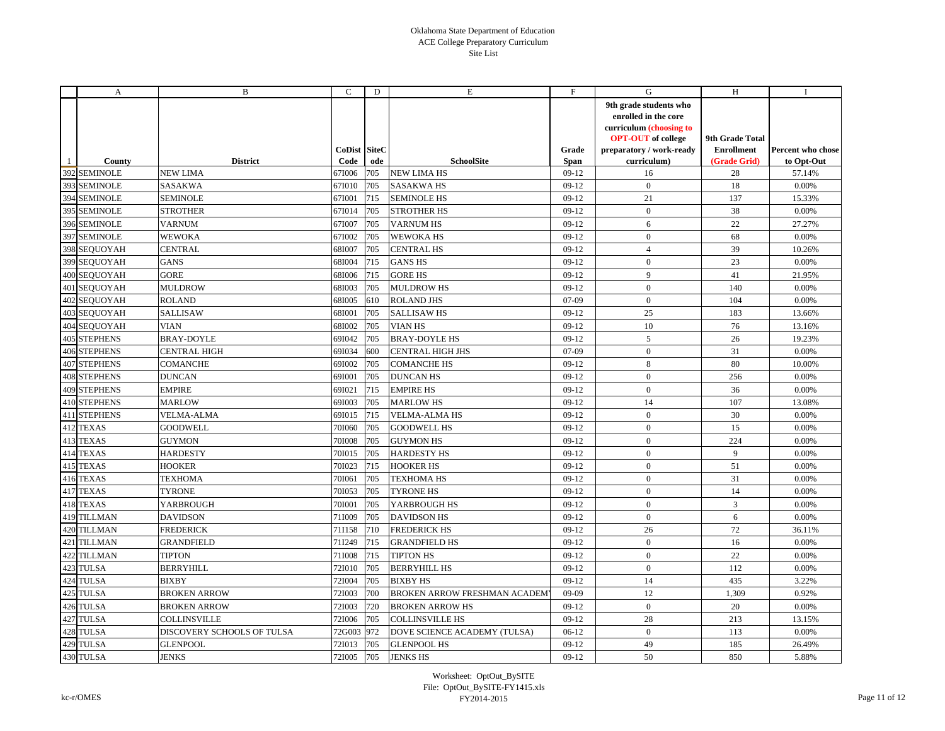|     | A                   | B                          | C                    | D   | E                             | F                    | G                                                                                                                                                 | H                                                    | $\bf{I}$                        |
|-----|---------------------|----------------------------|----------------------|-----|-------------------------------|----------------------|---------------------------------------------------------------------------------------------------------------------------------------------------|------------------------------------------------------|---------------------------------|
|     | County              | <b>District</b>            | CoDist SiteC<br>Code | ode | <b>SchoolSite</b>             | Grade<br><b>Span</b> | 9th grade students who<br>enrolled in the core<br>curriculum (choosing to<br><b>OPT-OUT</b> of college<br>preparatory / work-ready<br>curriculum) | 9th Grade Total<br><b>Enrollment</b><br>(Grade Grid) | Percent who chose<br>to Opt-Out |
|     | 392 SEMINOLE        | <b>NEW LIMA</b>            | 67I006               | 705 | <b>NEW LIMA HS</b>            | $09-12$              | 16                                                                                                                                                | 28                                                   | 57.14%                          |
| 393 | <b>SEMINOLE</b>     | SASAKWA                    | 67I010               | 705 | <b>SASAKWA HS</b>             | $09-12$              | $\mathbf{0}$                                                                                                                                      | 18                                                   | 0.00%                           |
| 394 | <b>SEMINOLE</b>     | <b>SEMINOLE</b>            | 671001               | 715 | <b>SEMINOLE HS</b>            | $09-12$              | 21                                                                                                                                                | 137                                                  | 15.33%                          |
| 395 | <b>SEMINOLE</b>     | <b>STROTHER</b>            | 67I014               | 705 | <b>STROTHER HS</b>            | $09-12$              | $\mathbf{0}$                                                                                                                                      | 38                                                   | 0.00%                           |
| 396 | <b>SEMINOLE</b>     | <b>VARNUM</b>              | 671007               | 705 | <b>VARNUM HS</b>              | $09-12$              | 6                                                                                                                                                 | 22                                                   | 27.27%                          |
| 397 | <b>SEMINOLE</b>     | <b>WEWOKA</b>              | 671002               | 705 | <b>WEWOKA HS</b>              | $09-12$              | $\overline{0}$                                                                                                                                    | 68                                                   | 0.00%                           |
|     | 398 SEOUOYAH        | <b>CENTRAL</b>             | 681007               | 705 | <b>CENTRAL HS</b>             | $09-12$              | $\overline{4}$                                                                                                                                    | 39                                                   | 10.26%                          |
|     | 399 SEQUOYAH        | <b>GANS</b>                | 68I004               | 715 | <b>GANS HS</b>                | $09-12$              | $\mathbf{0}$                                                                                                                                      | 23                                                   | 0.00%                           |
|     | 400 SEOUOYAH        | <b>GORE</b>                | 68I006               | 715 | <b>GORE HS</b>                | $09-12$              | 9                                                                                                                                                 | 41                                                   | 21.95%                          |
|     | 401 SEOUOYAH        | <b>MULDROW</b>             | 68I003               | 705 | <b>MULDROW HS</b>             | $09-12$              | $\mathbf{0}$                                                                                                                                      | 140                                                  | 0.00%                           |
|     | 402 SEQUOYAH        | <b>ROLAND</b>              | 68I005               | 610 | <b>ROLAND JHS</b>             | $07-09$              | $\mathbf{0}$                                                                                                                                      | 104                                                  | 0.00%                           |
|     | 403 SEQUOYAH        | <b>SALLISAW</b>            | 68I001               | 705 | <b>SALLISAW HS</b>            | $09-12$              | 25                                                                                                                                                | 183                                                  | 13.66%                          |
|     | 404 SEQUOYAH        | <b>VIAN</b>                | 68I002               | 705 | <b>VIAN HS</b>                | $09-12$              | 10                                                                                                                                                | 76                                                   | 13.16%                          |
|     | <b>405 STEPHENS</b> | <b>BRAY-DOYLE</b>          | 691042               | 705 | <b>BRAY-DOYLE HS</b>          | $09-12$              | $\mathfrak{S}$                                                                                                                                    | 26                                                   | 19.23%                          |
|     | <b>406 STEPHENS</b> | <b>CENTRAL HIGH</b>        | 69I034               | 600 | <b>CENTRAL HIGH JHS</b>       | 07-09                | $\mathbf{0}$                                                                                                                                      | 31                                                   | 0.00%                           |
| 407 | <b>STEPHENS</b>     | <b>COMANCHE</b>            | 691002               | 705 | <b>COMANCHE HS</b>            | $09-12$              | 8                                                                                                                                                 | 80                                                   | 10.00%                          |
|     | <b>408 STEPHENS</b> | <b>DUNCAN</b>              | 69I001               | 705 | <b>DUNCAN HS</b>              | $09-12$              | $\overline{0}$                                                                                                                                    | 256                                                  | 0.00%                           |
|     | <b>409 STEPHENS</b> | <b>EMPIRE</b>              | 69I021               | 715 | <b>EMPIRE HS</b>              | $09-12$              | $\mathbf{0}$                                                                                                                                      | 36                                                   | 0.00%                           |
|     | <b>410 STEPHENS</b> | <b>MARLOW</b>              | 691003               | 705 | <b>MARLOW HS</b>              | $09-12$              | 14                                                                                                                                                | 107                                                  | 13.08%                          |
| 411 | <b>STEPHENS</b>     | <b>VELMA-ALMA</b>          | 69I015               | 715 | <b>VELMA-ALMA HS</b>          | $09-12$              | $\mathbf{0}$                                                                                                                                      | 30                                                   | 0.00%                           |
|     | 412 TEXAS           | <b>GOODWELL</b>            | 701060               | 705 | <b>GOODWELL HS</b>            | $09-12$              | $\mathbf{0}$                                                                                                                                      | 15                                                   | 0.00%                           |
| 413 | <b>TEXAS</b>        | <b>GUYMON</b>              | 701008               | 705 | <b>GUYMON HS</b>              | $09-12$              | $\overline{0}$                                                                                                                                    | 224                                                  | 0.00%                           |
| 414 | <b>TEXAS</b>        | <b>HARDESTY</b>            | 70I015               | 705 | <b>HARDESTY HS</b>            | $09-12$              | $\mathbf{0}$                                                                                                                                      | 9                                                    | 0.00%                           |
|     | 415 TEXAS           | <b>HOOKER</b>              | 701023               | 715 | <b>HOOKER HS</b>              | $09-12$              | $\mathbf{0}$                                                                                                                                      | 51                                                   | 0.00%                           |
|     | 416 TEXAS           | <b>TEXHOMA</b>             | 701061               | 705 | <b>TEXHOMA HS</b>             | $09-12$              | $\mathbf{0}$                                                                                                                                      | 31                                                   | 0.00%                           |
| 417 | <b>TEXAS</b>        | <b>TYRONE</b>              | 701053               | 705 | <b>TYRONE HS</b>              | $09-12$              | $\mathbf{0}$                                                                                                                                      | 14                                                   | 0.00%                           |
|     | 418 TEXAS           | YARBROUGH                  | 701001               | 705 | YARBROUGH HS                  | $09-12$              | $\mathbf{0}$                                                                                                                                      | $\overline{3}$                                       | 0.00%                           |
|     | 419 TILLMAN         | <b>DAVIDSON</b>            | 711009               | 705 | <b>DAVIDSON HS</b>            | $09-12$              | $\mathbf{0}$                                                                                                                                      | 6                                                    | 0.00%                           |
| 420 | <b>TILLMAN</b>      | <b>FREDERICK</b>           | 711158               | 710 | <b>FREDERICK HS</b>           | $09-12$              | 26                                                                                                                                                | 72                                                   | 36.11%                          |
| 421 | <b>TILLMAN</b>      | <b>GRANDFIELD</b>          | 71I249               | 715 | <b>GRANDFIELD HS</b>          | $09-12$              | $\mathbf{0}$                                                                                                                                      | 16                                                   | 0.00%                           |
| 422 | <b>TILLMAN</b>      | <b>TIPTON</b>              | 711008               | 715 | <b>TIPTON HS</b>              | $09-12$              | $\mathbf{0}$                                                                                                                                      | 22                                                   | 0.00%                           |
| 423 | <b>TULSA</b>        | <b>BERRYHILL</b>           | 721010               | 705 | <b>BERRYHILL HS</b>           | $09-12$              | $\mathbf{0}$                                                                                                                                      | 112                                                  | 0.00%                           |
| 424 | <b>TULSA</b>        | <b>BIXBY</b>               | 72I004               | 705 | <b>BIXBY HS</b>               | $09-12$              | 14                                                                                                                                                | 435                                                  | 3.22%                           |
| 425 | <b>TULSA</b>        | <b>BROKEN ARROW</b>        | 72I003               | 700 | BROKEN ARROW FRESHMAN ACADEM' | $09-09$              | 12                                                                                                                                                | 1,309                                                | 0.92%                           |
|     | 426 TULSA           | <b>BROKEN ARROW</b>        | 721003               | 720 | <b>BROKEN ARROW HS</b>        | $09-12$              | $\mathbf{0}$                                                                                                                                      | 20                                                   | $0.00\%$                        |
| 427 | <b>TULSA</b>        | <b>COLLINSVILLE</b>        | 721006               | 705 | <b>COLLINSVILLE HS</b>        | $09-12$              | 28                                                                                                                                                | 213                                                  | 13.15%                          |
| 428 | <b>TULSA</b>        | DISCOVERY SCHOOLS OF TULSA | 72G003 972           |     | DOVE SCIENCE ACADEMY (TULSA)  | $06-12$              | $\overline{0}$                                                                                                                                    | 113                                                  | 0.00%                           |
|     | 429 TULSA           | <b>GLENPOOL</b>            | 72I013               | 705 | <b>GLENPOOL HS</b>            | $09-12$              | 49                                                                                                                                                | 185                                                  | 26.49%                          |
|     | 430 TULSA           | <b>JENKS</b>               | 721005               | 705 | <b>JENKS HS</b>               | $09-12$              | 50                                                                                                                                                | 850                                                  | 5.88%                           |